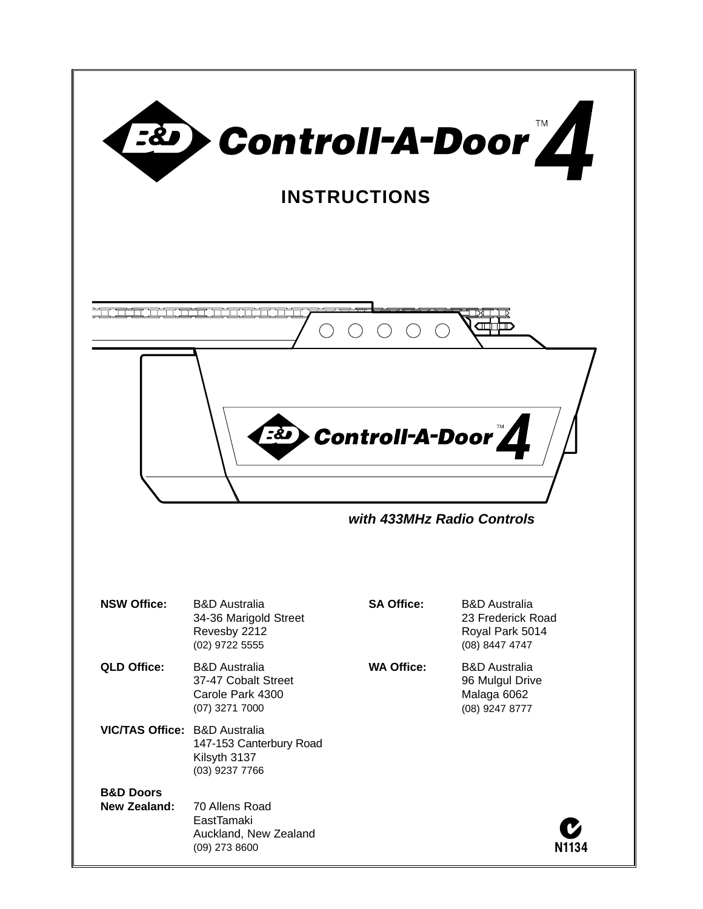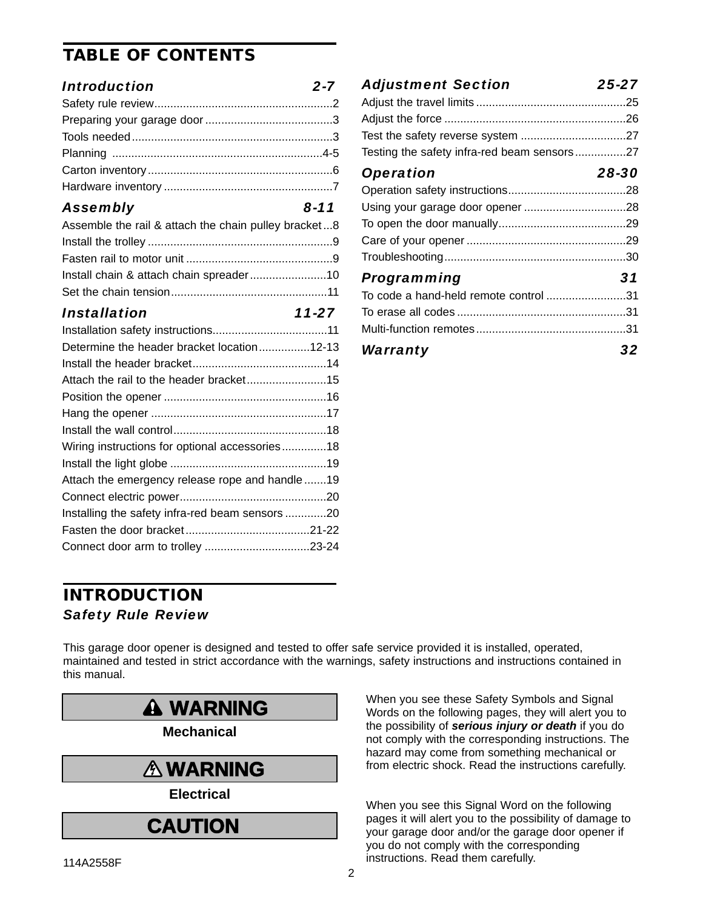## **TABLE OF CONTENTS**

### *Introduction 2-7*

### *Assembly 8-11*

| Assemble the rail & attach the chain pulley bracket8 |  |
|------------------------------------------------------|--|
|                                                      |  |
|                                                      |  |
|                                                      |  |
|                                                      |  |
|                                                      |  |

### *Installation 11-27*

| Determine the header bracket location12-13     |  |
|------------------------------------------------|--|
|                                                |  |
|                                                |  |
|                                                |  |
|                                                |  |
|                                                |  |
| Wiring instructions for optional accessories18 |  |
|                                                |  |
| Attach the emergency release rope and handle19 |  |
|                                                |  |
| Installing the safety infra-red beam sensors20 |  |
|                                                |  |
|                                                |  |

## *Adjustment Section 25-27* Adjust the travel limits ...............................................25 Adjust the force .........................................................26 Test the safety reverse system .................................27 Testing the safety infra-red beam sensors................27 *Operation 28-30* Operation safety instructions.....................................28 Using your garage door opener ................................28 To open the door manually........................................29 Care of your opener ..................................................29 Troubleshooting.........................................................30 *Programming 31* To code a hand-held remote control .........................31 To erase all codes .....................................................31 Multi-function remotes...............................................31 *Warranty 32*

## **INTRODUCTION** *Safety Rule Review*

This garage door opener is designed and tested to offer safe service provided it is installed, operated, maintained and tested in strict accordance with the warnings, safety instructions and instructions contained in this manual.



**Mechanical**

## **WARNING WARNING Electrical**<br>Electrical

# **CAUTION**

When you see these Safety Symbols and Signal when you see these Salety Symbols and Signal<br>Words on the following pages, they will alert you to the possibility of **serious injury or death** if you do not comply with the corresponding instructions. The hazard may come from something mechanical or from electric shock. Read the instructions carefully.

When you see this Signal Word on the following pages it will alert you to the possibility of damage to **CAUTION** Pages it will alert you to the possibility of damage to the set of the garage door opener if you do not comply with the corresponding instructions. Read them carefully.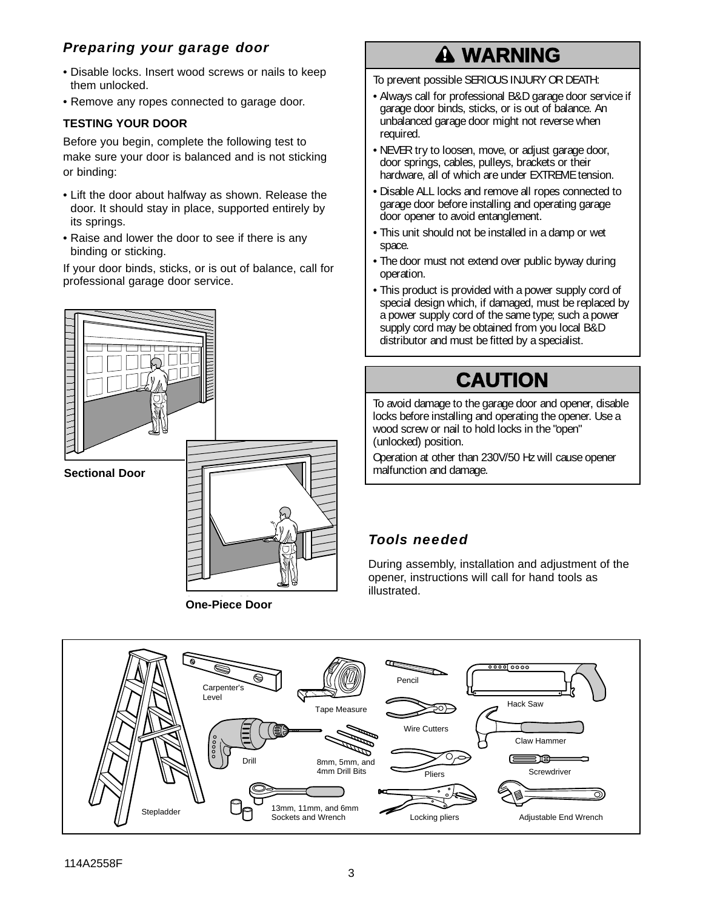## *Preparing your garage door*

- Disable locks. Insert wood screws or nails to keep them unlocked.
- Remove any ropes connected to garage door.

### **TESTING YOUR DOOR**

Before you begin, complete the following test to make sure your door is balanced and is not sticking or binding:

- Lift the door about halfway as shown. Release the door. It should stay in place, supported entirely by its springs.
- Raise and lower the door to see if there is any binding or sticking.

If your door binds, sticks, or is out of balance, call for professional garage door service.



**O C OO One-Piece Door**

# **WARNING**

To prevent possible SERIOUS INJURY OR DEATH:

- Always call for professional B&D garage door service if<br>carage door binds sticks, or is out of balance. An garage door binds, sticks, or is out of balance. An unbalanced garage door might not reverse when required.
- NEVER try to loosen, move, or adjust garage door, door springs, cables, pulleys, brackets or their hardware, all of which are under EXTREME tension.
- Disable ALL locks and remove all ropes connected to garage door before installing and operating garage door opener to avoid entanglement.
- This unit should not be installed in a damp or wet space.
- The door must not extend over public byway during operation.
- This product is provided with a power supply cord of special design which, if damaged, must be replaced by a power supply cord of the same type; such a power supply cord may be obtained from you local B&D supply cord may be obtained from you local<br>distributor and must be fitted by a specialist.

# **CAUTION**

To avoid damage to the garage door and opener, disable locks before installing and operating the opener. Use a wood screw or nail to hold locks in the "open" (unlocked) position.

Operation at other than 230V/50 Hz will cause opener malfunction and damage.

## *Tools needed*

During assembly, installation and adjustment of the opener, instructions will call for hand tools as illustrated.

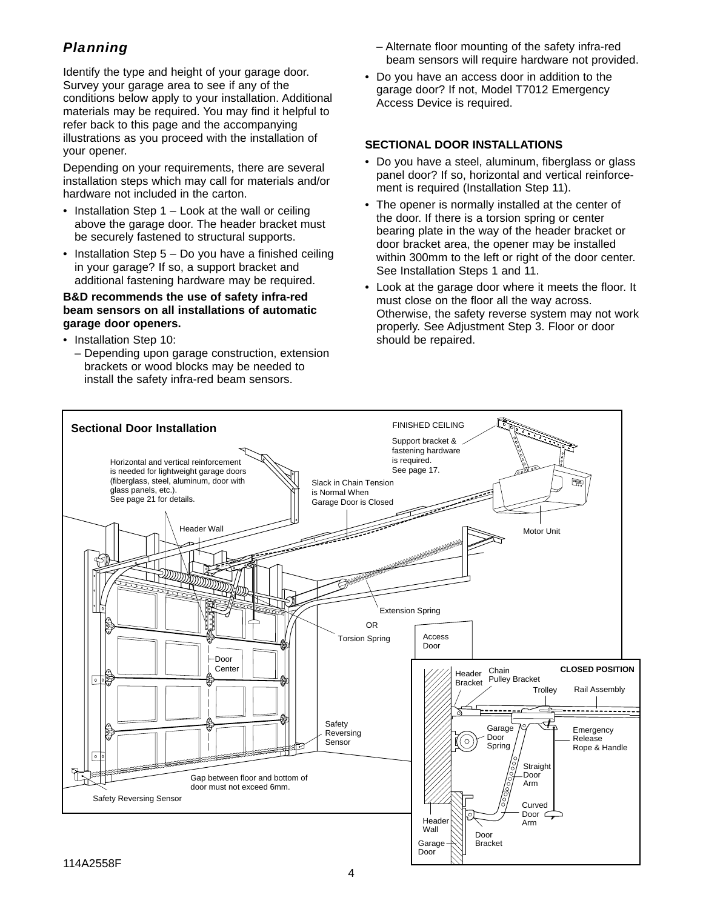## *Planning*

Identify the type and height of your garage door. Survey your garage area to see if any of the conditions below apply to your installation. Additional materials may be required. You may find it helpful to refer back to this page and the accompanying illustrations as you proceed with the installation of your opener.

Depending on your requirements, there are several installation steps which may call for materials and/or hardware not included in the carton.

- Installation Step  $1 -$  Look at the wall or ceiling above the garage door. The header bracket must be securely fastened to structural supports.
- Installation Step 5 Do you have a finished ceiling in your garage? If so, a support bracket and additional fastening hardware may be required.

#### **B&D recommends the use of safety infra-red beam sensors on all installations of automatic garage door openers.**

- Installation Step 10:
	- Depending upon garage construction, extension brackets or wood blocks may be needed to install the safety infra-red beam sensors.
- Alternate floor mounting of the safety infra-red beam sensors will require hardware not provided.
- Do you have an access door in addition to the garage door? If not, Model T7012 Emergency Access Device is required.

#### **SECTIONAL DOOR INSTALLATIONS**

- Do you have a steel, aluminum, fiberglass or glass panel door? If so, horizontal and vertical reinforcement is required (Installation Step 11).
- The opener is normally installed at the center of the door. If there is a torsion spring or center bearing plate in the way of the header bracket or door bracket area, the opener may be installed within 300mm to the left or right of the door center. See Installation Steps 1 and 11.
- Look at the garage door where it meets the floor. It must close on the floor all the way across. Otherwise, the safety reverse system may not work properly. See Adjustment Step 3. Floor or door should be repaired.

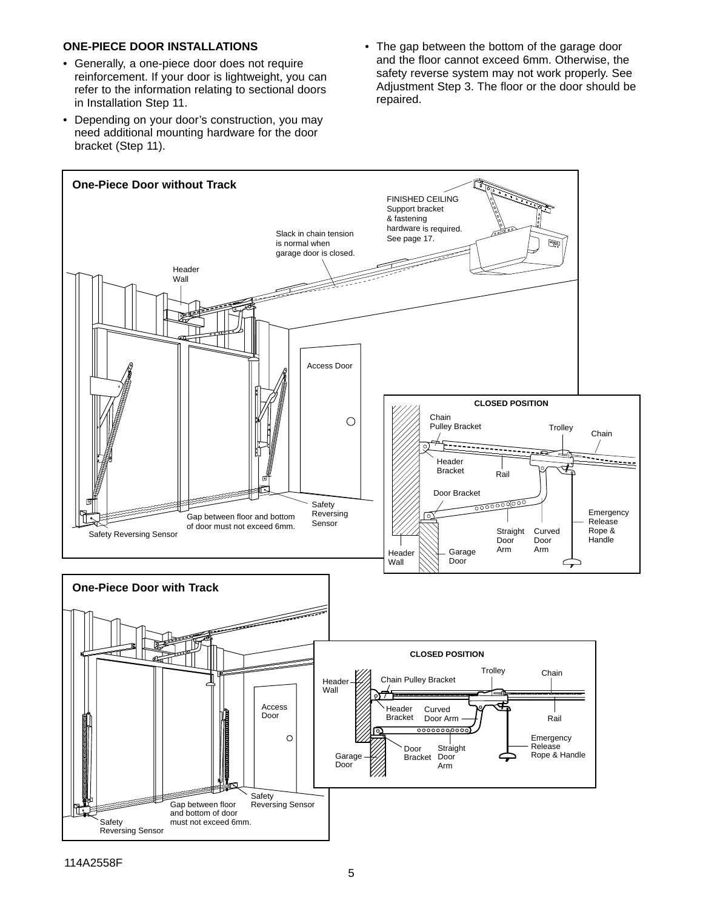#### **ONE-PIECE DOOR INSTALLATIONS**

- Generally, a one-piece door does not require reinforcement. If your door is lightweight, you can refer to the information relating to sectional doors in Installation Step 11.
- Depending on your door's construction, you may need additional mounting hardware for the door bracket (Step 11).
- The gap between the bottom of the garage door and the floor cannot exceed 6mm. Otherwise, the safety reverse system may not work properly. See Adjustment Step 3. The floor or the door should be repaired.

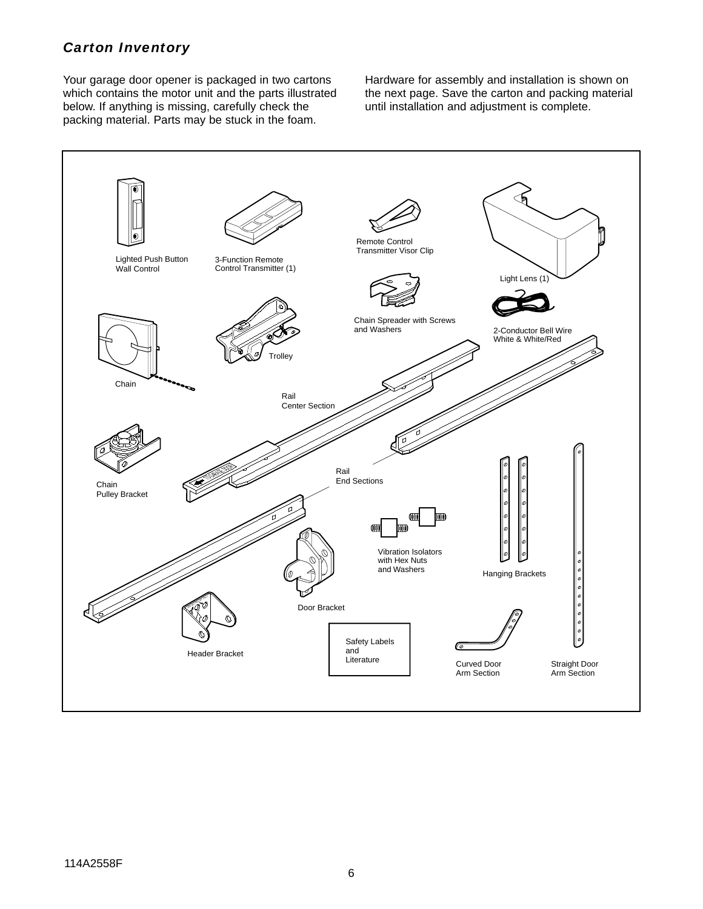## *Carton Inventory*

Your garage door opener is packaged in two cartons which contains the motor unit and the parts illustrated below. If anything is missing, carefully check the packing material. Parts may be stuck in the foam.

Hardware for assembly and installation is shown on the next page. Save the carton and packing material until installation and adjustment is complete.

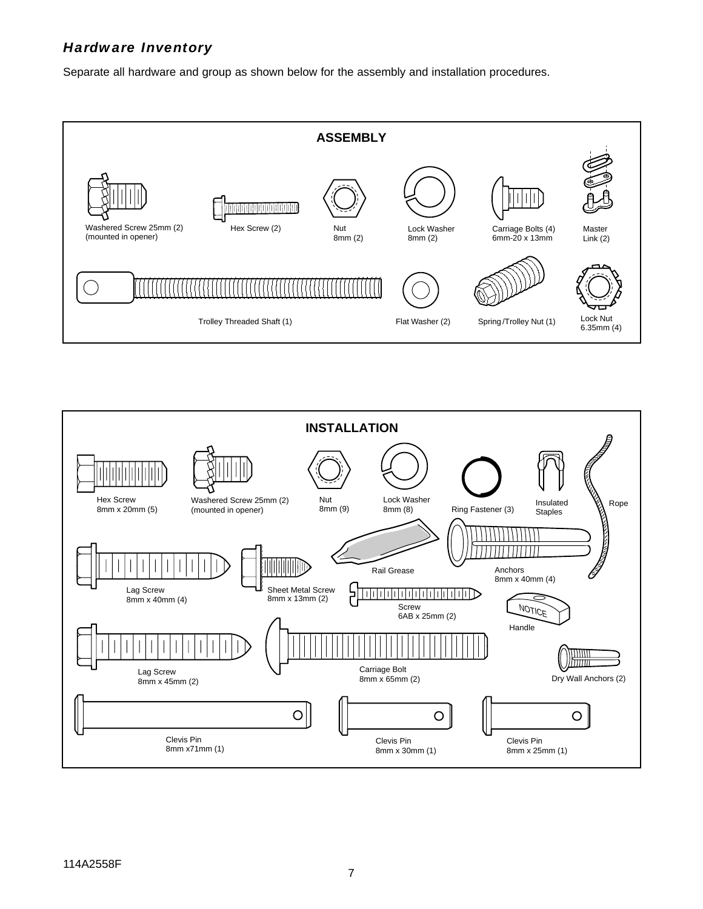## *Hardware Inventory*

Separate all hardware and group as shown below for the assembly and installation procedures.



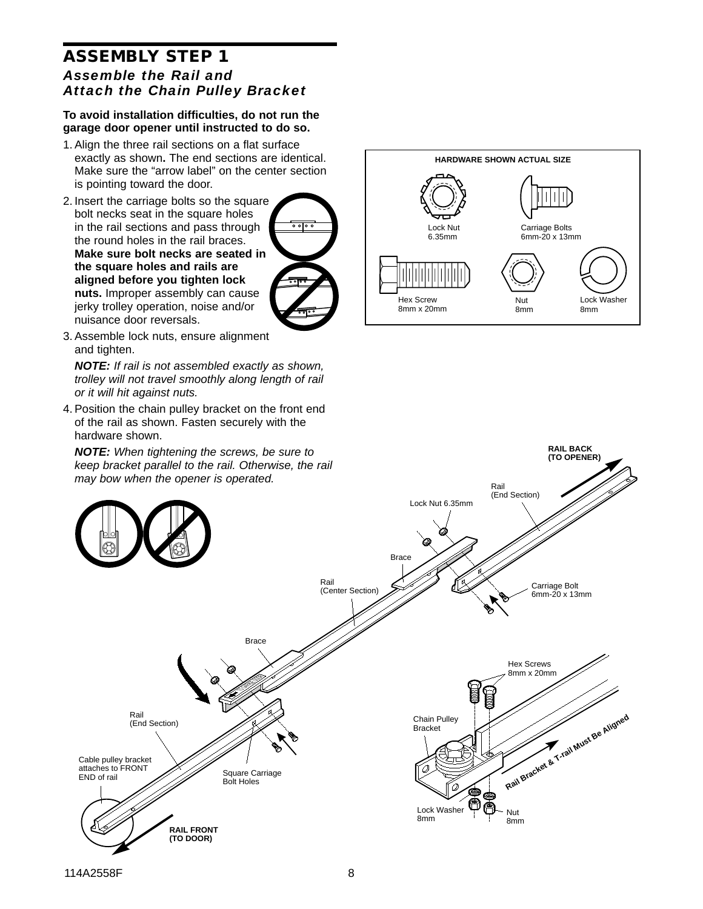## **ASSEMBLY STEP 1** *Assemble the Rail and Attach the Chain Pulley Bracket*

#### **To avoid installation difficulties, do not run the garage door opener until instructed to do so.**

- 1. Align the three rail sections on a flat surface exactly as shown**.** The end sections are identical. Make sure the "arrow label" on the center section is pointing toward the door.
- 2. Insert the carriage bolts so the square bolt necks seat in the square holes in the rail sections and pass through the round holes in the rail braces. **Make sure bolt necks are seated in the square holes and rails are aligned before you tighten lock nuts.** Improper assembly can cause jerky trolley operation, noise and/or nuisance door reversals.



3. Assemble lock nuts, ensure alignment and tighten.

NOTE: If rail is not assembled exactly as shown, trolley will not travel smoothly along length of rail or it will hit against nuts.

4. Position the chain pulley bracket on the front end of the rail as shown. Fasten securely with the hardware shown.



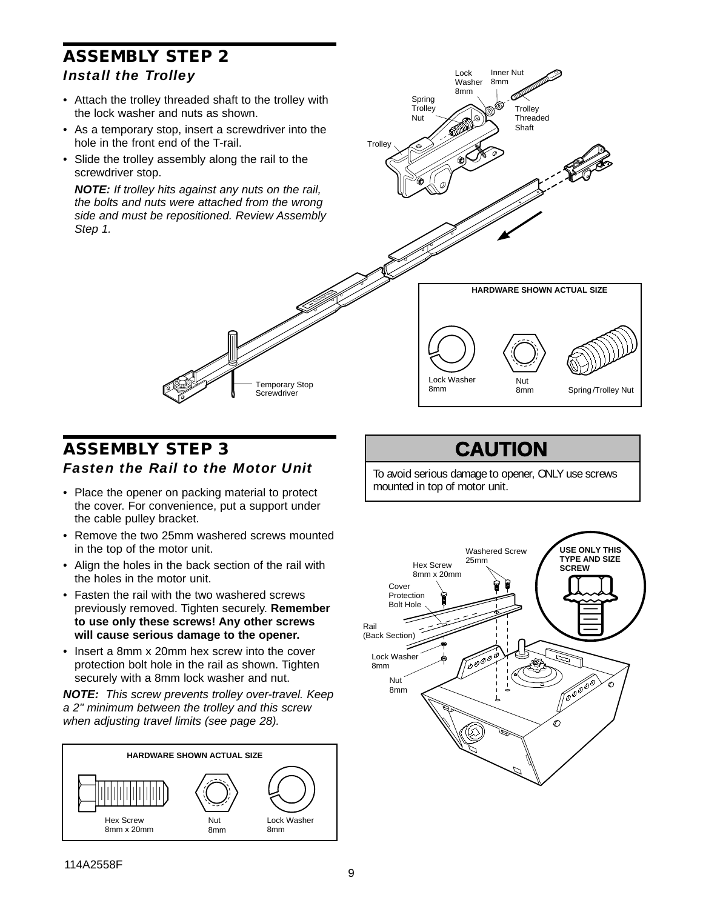## **ASSEMBLY STEP 2** *Install the Trolley*

- Attach the trolley threaded shaft to the trolley with the lock washer and nuts as shown.
- As a temporary stop, insert a screwdriver into the hole in the front end of the T-rail.
- Slide the trolley assembly along the rail to the screwdriver stop.

**NOTE:** If trolley hits against any nuts on the rail, the bolts and nuts were attached from the wrong side and must be repositioned. Review Assembly Step 1.



## **ASSEMBLY STEP 3** *Fasten the Rail to the Motor Unit*

Temporary Stop **Screwdriver** 

- Place the opener on packing material to protect the cover. For convenience, put a support under the cable pulley bracket.
- Remove the two 25mm washered screws mounted in the top of the motor unit.
- Align the holes in the back section of the rail with the holes in the motor unit.
- Fasten the rail with the two washered screws previously removed. Tighten securely. **Remember to use only these screws! Any other screws will cause serious damage to the opener.**
- Insert a 8mm x 20mm hex screw into the cover protection bolt hole in the rail as shown. Tighten securely with a 8mm lock washer and nut.

**NOTE:** This screw prevents trolley over-travel. Keep a 2" minimum between the trolley and this screw when adjusting travel limits (see page 28).



## **CAUTION**

To avoid serious damage to opener, ONLY use screws mounted in top of motor unit.

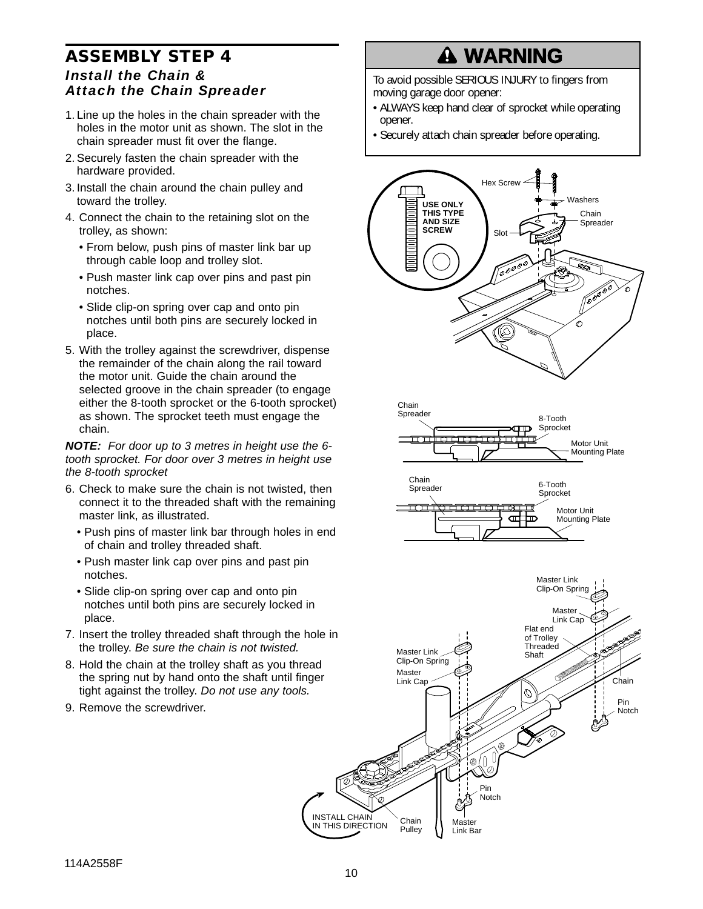## **ASSEMBLY STEP 4** *Install the Chain & Attach the Chain Spreader*

- 1. Line up the holes in the chain spreader with the holes in the motor unit as shown. The slot in the chain spreader must fit over the flange.
- 2. Securely fasten the chain spreader with the hardware provided.
- 3. Install the chain around the chain pulley and toward the trolley.
- 4. Connect the chain to the retaining slot on the trolley, as shown:
	- From below, push pins of master link bar up through cable loop and trolley slot.
	- Push master link cap over pins and past pin notches.
	- Slide clip-on spring over cap and onto pin notches until both pins are securely locked in place.
- 5. With the trolley against the screwdriver, dispense the remainder of the chain along the rail toward the motor unit. Guide the chain around the selected groove in the chain spreader (to engage either the 8-tooth sprocket or the 6-tooth sprocket) as shown. The sprocket teeth must engage the chain.

**NOTE:** For door up to 3 metres in height use the 6 tooth sprocket. For door over 3 metres in height use the 8-tooth sprocket

- 6. Check to make sure the chain is not twisted, then connect it to the threaded shaft with the remaining master link, as illustrated.
	- Push pins of master link bar through holes in end of chain and trolley threaded shaft.
	- Push master link cap over pins and past pin notches.
	- Slide clip-on spring over cap and onto pin notches until both pins are securely locked in place.
- 7. Insert the trolley threaded shaft through the hole in the trolley. Be sure the chain is not twisted.
- 8. Hold the chain at the trolley shaft as you thread the spring nut by hand onto the shaft until finger tight against the trolley. Do not use any tools.
- 9. Remove the screwdriver.

# **A WARNING**

To avoid possible SERIOUS INJURY to fingers from moving garage door opener:

- moving garage door opener:<br>• ALWAYS keep hand clear of sprocket while operating opener.
- Securely attach chain spreader before operating.







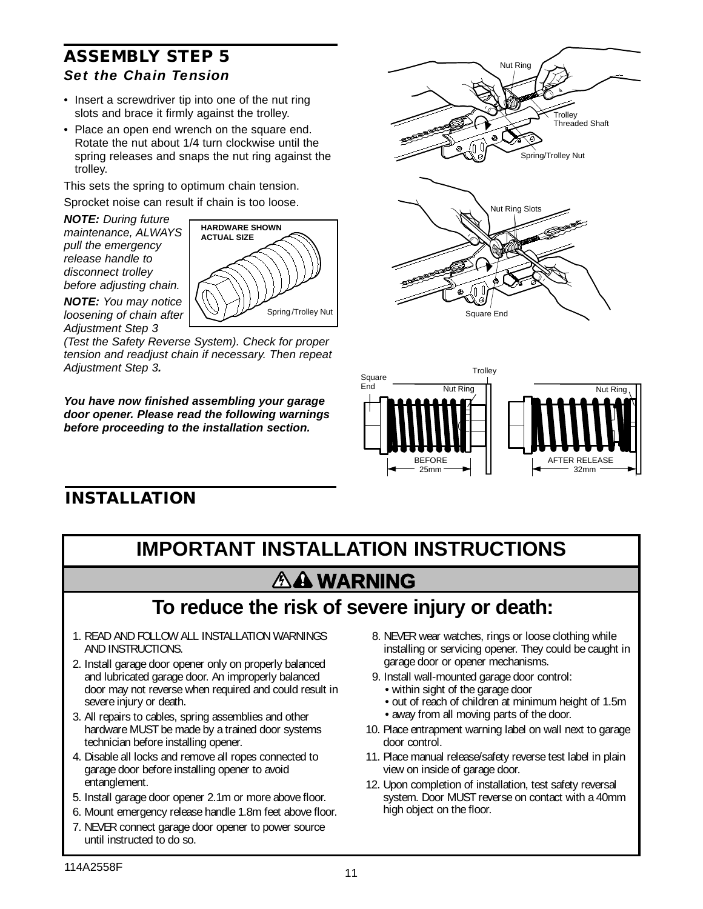## **ASSEMBLY STEP 5** *Set the Chain Tension*

- Insert a screwdriver tip into one of the nut ring slots and brace it firmly against the trolley.
- Place an open end wrench on the square end. Rotate the nut about 1/4 turn clockwise until the spring releases and snaps the nut ring against the trolley.

This sets the spring to optimum chain tension.

Sprocket noise can result if chain is too loose.

**NOTE:** During future maintenance, ALWAYS pull the emergency release handle to disconnect trolley before adjusting chain.



**NOTE:** You may notice loosening of chain after Adjustment Step 3

(Test the Safety Reverse System). Check for proper tension and readjust chain if necessary. Then repeat Adjustment Step 3**.**

**You have now finished assembling your garage door opener. Please read the following warnings before proceeding to the installation section.**





## **INSTALLATION**

## **IMPORTANT INSTALLATION INSTRUCTIONS AA WARNING WARNING**

# **To reduce the risk of severe injury or death:**

- 1. READ AND FOLLOW ALL INSTALLATION WARNINGS AND INSTRUCTIONS.
- 2. Install garage door opener only on properly balanced and lubricated garage door. An improperly balanced door may not reverse when required and could result in severe injury or death.
- 3. All repairs to cables, spring assemblies and other hardware MUST be made by a trained door systems technician before installing opener.
- 4. Disable all locks and remove all ropes connected to garage door before installing opener to avoid entanglement.
- 5. Install garage door opener 2.1m or more above floor.
- 6. Mount emergency release handle 1.8m feet above floor.
- 7. NEVER connect garage door opener to power source until instructed to do so.
- 8. NEVER wear watches, rings or loose clothing while installing or servicing opener. They could be caught in garage door or opener mechanisms.
- 9. Install wall-mounted garage door control:
	- within sight of the garage door
	- out of reach of children at minimum height of 1.5m
	- away from all moving parts of the door.
- 10. Place entrapment warning label on wall next to garage door control.
- 11. Place manual release/safety reverse test label in plain view on inside of garage door.
- 12. Upon completion of installation, test safety reversal system. Door MUST reverse on contact with a 40mm high object on the floor.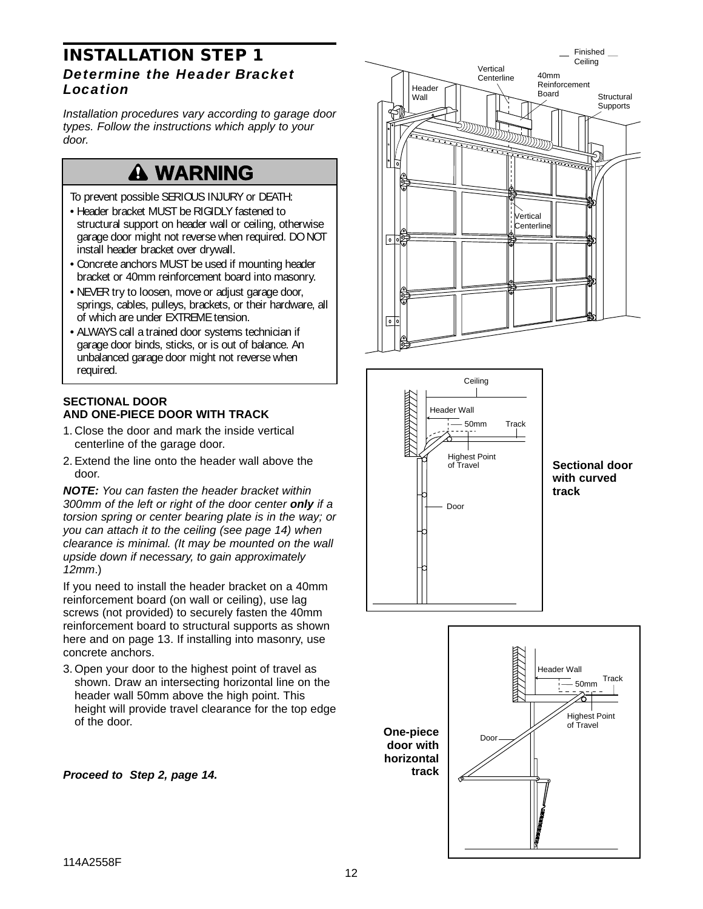### **INSTALLATION STEP 1** *Determine the Header Bracket Location*

Installation procedures vary according to garage door types. Follow the instructions which apply to your door.

# **A WARNING**

To prevent possible SERIOUS INJURY or DEATH:

- Header bracket MUST be RIGIDLY fastened to garage door might not reverse when required. DO NOT install header bracket over drywall.
- Concrete anchors MUST be used if mounting header bracket or 40mm reinforcement board into masonry.
- NEVER try to loosen, move or adjust garage door, springs, cables, pulleys, brackets, or their hardware, all of which are under EXTREME tension.
- ALWAYS call a trained door systems technician if garage door binds, sticks, or is out of balance. An unbalanced garage door might not reverse when required.

### **SECTIONAL DOOR AND ONE-PIECE DOOR WITH TRACK**

- 1. Close the door and mark the inside vertical centerline of the garage door.
- 2. Extend the line onto the header wall above the door.

**NOTE:** You can fasten the header bracket within 300mm of the left or right of the door center **only** if a torsion spring or center bearing plate is in the way; or you can attach it to the ceiling (see page 14) when clearance is minimal. (It may be mounted on the wall upside down if necessary, to gain approximately 12mm.)

If you need to install the header bracket on a 40mm reinforcement board (on wall or ceiling), use lag screws (not provided) to securely fasten the 40mm reinforcement board to structural supports as shown here and on page 13. If installing into masonry, use concrete anchors.

3. Open your door to the highest point of travel as shown. Draw an intersecting horizontal line on the header wall 50mm above the high point. This height will provide travel clearance for the top edge of the door.

**Proceed to Step 2, page 14.**





#### **Sectional door with curved track**

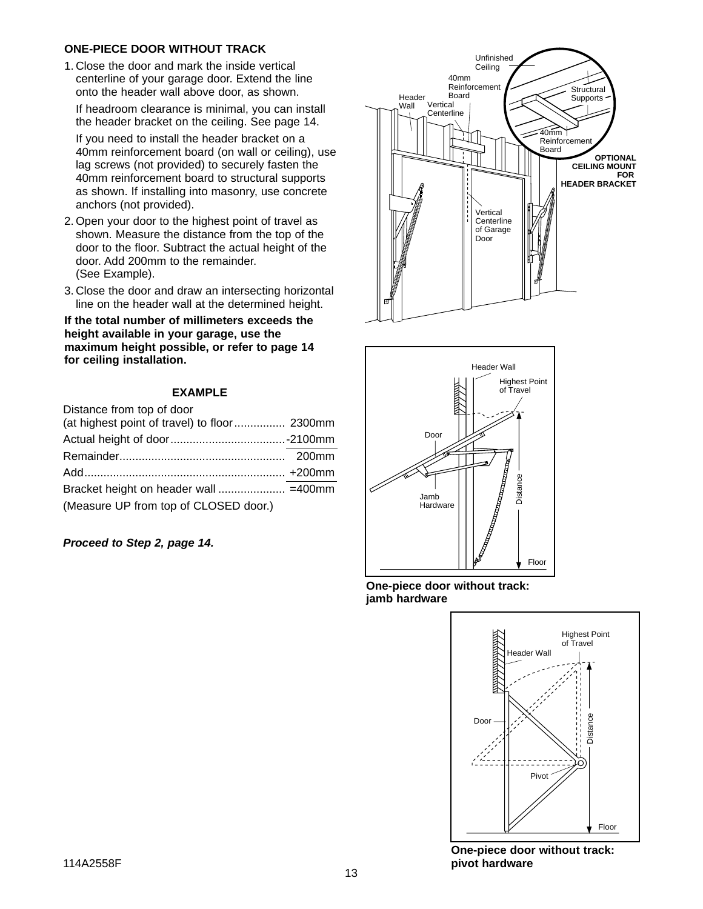#### **ONE-PIECE DOOR WITHOUT TRACK**

1. Close the door and mark the inside vertical centerline of your garage door. Extend the line onto the header wall above door, as shown.

If headroom clearance is minimal, you can install the header bracket on the ceiling. See page 14.

If you need to install the header bracket on a 40mm reinforcement board (on wall or ceiling), use lag screws (not provided) to securely fasten the 40mm reinforcement board to structural supports as shown. If installing into masonry, use concrete anchors (not provided).

- 2. Open your door to the highest point of travel as shown. Measure the distance from the top of the door to the floor. Subtract the actual height of the door. Add 200mm to the remainder. (See Example).
- 3. Close the door and draw an intersecting horizontal line on the header wall at the determined height.

**If the total number of millimeters exceeds the height available in your garage, use the maximum height possible, or refer to page 14 for ceiling installation.**

#### **EXAMPLE**

| Distance from top of door                     |  |
|-----------------------------------------------|--|
| (at highest point of travel) to floor  2300mm |  |
|                                               |  |
|                                               |  |
|                                               |  |
|                                               |  |
| (Measure UP from top of CLOSED door.)         |  |

**Proceed to Step 2, page 14.**





**One-piece door without track: jamb hardware**



**One-piece door without track: pivot hardware**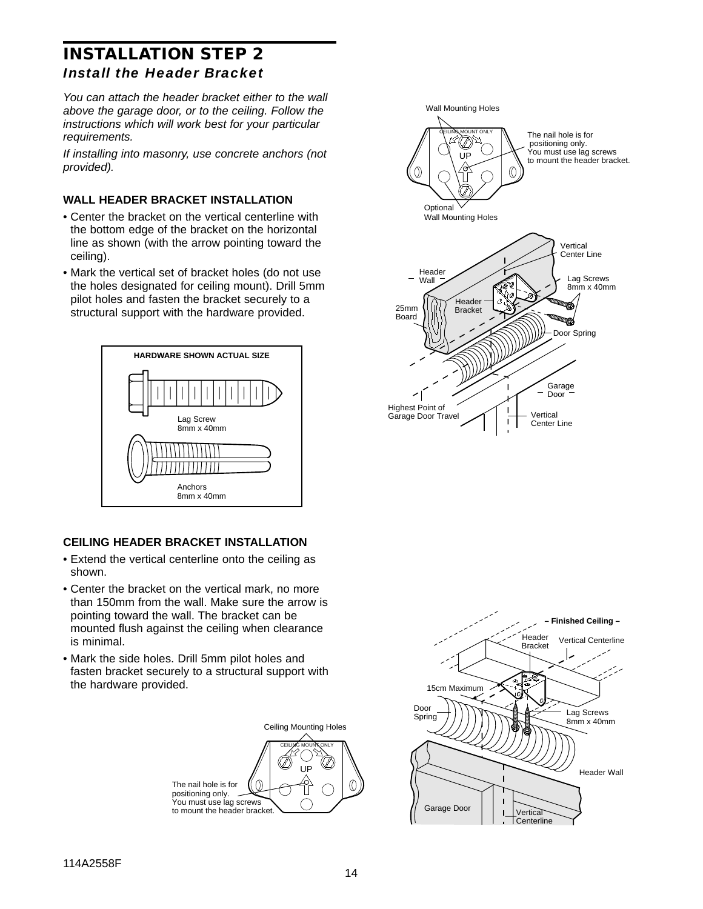## **INSTALLATION STEP 2** *Install the Header Bracket*

You can attach the header bracket either to the wall above the garage door, or to the ceiling. Follow the instructions which will work best for your particular requirements.

If installing into masonry, use concrete anchors (not provided).

#### **WALL HEADER BRACKET INSTALLATION**

- Center the bracket on the vertical centerline with the bottom edge of the bracket on the horizontal line as shown (with the arrow pointing toward the ceiling).
- Mark the vertical set of bracket holes (do not use the holes designated for ceiling mount). Drill 5mm pilot holes and fasten the bracket securely to a structural support with the hardware provided.



### **CEILING HEADER BRACKET INSTALLATION**

- Extend the vertical centerline onto the ceiling as shown.
- Center the bracket on the vertical mark, no more than 150mm from the wall. Make sure the arrow is pointing toward the wall. The bracket can be mounted flush against the ceiling when clearance is minimal.
- Mark the side holes. Drill 5mm pilot holes and fasten bracket securely to a structural support with the hardware provided.





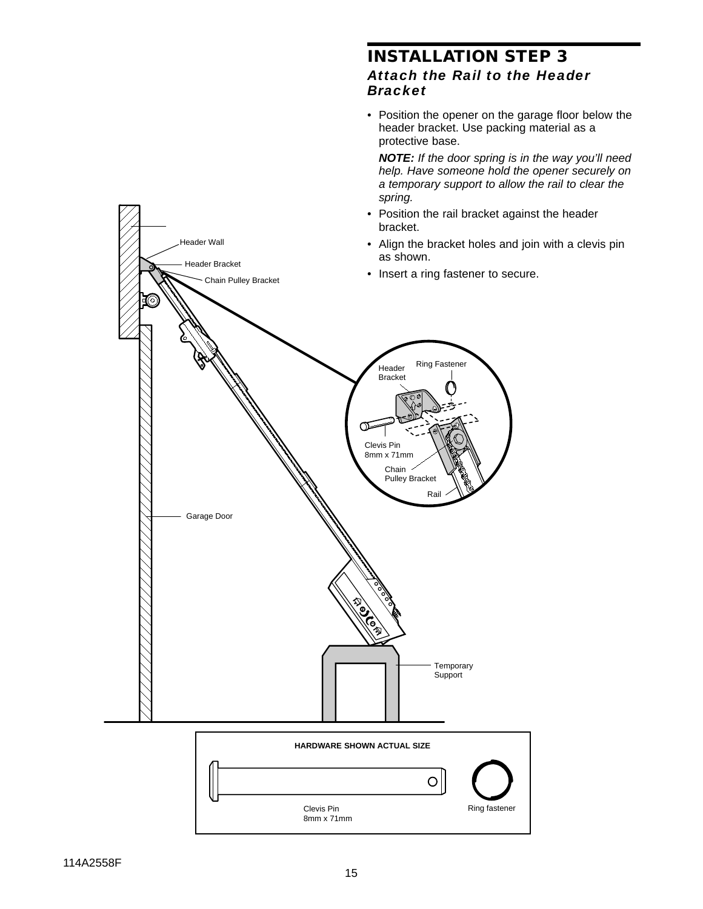## **INSTALLATION STEP 3** *Attach the Rail to the Header Bracket*

• Position the opener on the garage floor below the header bracket. Use packing material as a protective base.

**NOTE:** If the door spring is in the way you'll need help. Have someone hold the opener securely on a temporary support to allow the rail to clear the spring.

- Position the rail bracket against the header bracket.
- Align the bracket holes and join with a clevis pin as shown.
- Insert a ring fastener to secure.



Header Wall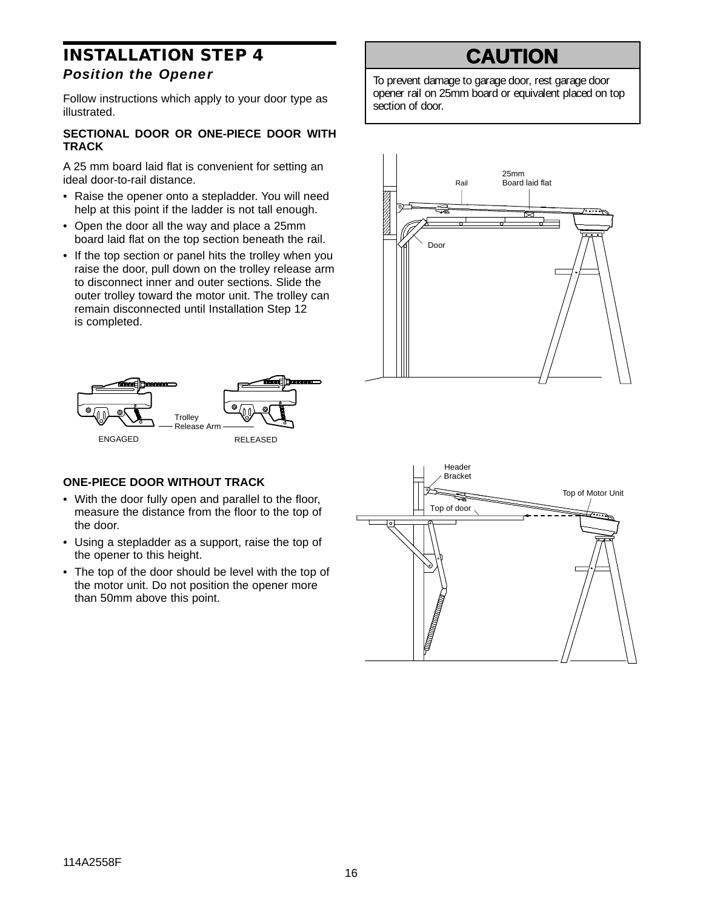## **INSTALLATION STEP 4** *Position the Opener*

Follow instructions which apply to your door type as illustrated.

#### **SECTIONAL DOOR OR ONE-PIECE DOOR WITH TRACK**

A 25 mm board laid flat is convenient for setting an ideal door-to-rail distance.

- Raise the opener onto a stepladder. You will need help at this point if the ladder is not tall enough.
- Open the door all the way and place a 25mm board laid flat on the top section beneath the rail.
- If the top section or panel hits the trolley when you raise the door, pull down on the trolley release arm to disconnect inner and outer sections. Slide the outer trolley toward the motor unit. The trolley can remain disconnected until Installation Step 12 is completed.



### **ONE-PIECE DOOR WITHOUT TRACK**

- With the door fully open and parallel to the floor, measure the distance from the floor to the top of the door.
- Using a stepladder as a support, raise the top of the opener to this height.
- The top of the door should be level with the top of the motor unit. Do not position the opener more than 50mm above this point.

# **CAUTION**

To prevent damage to garage door, rest garage door opener rail on 25mm board or equivalent placed on top section of door.



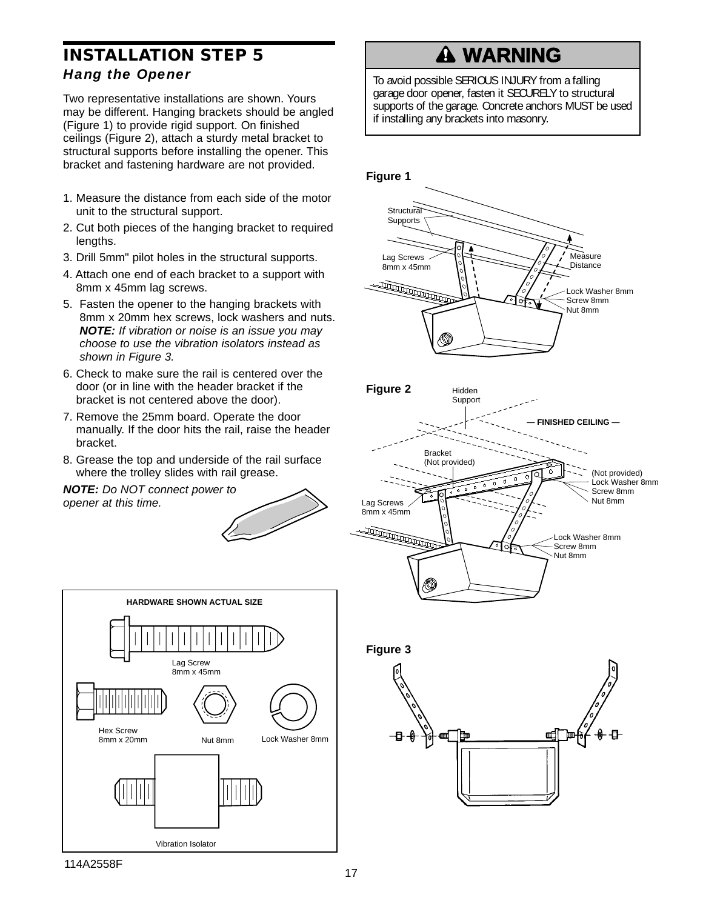## **INSTALLATION STEP 5** *Hang the Opener*

Two representative installations are shown. Yours may be different. Hanging brackets should be angled (Figure 1) to provide rigid support. On finished ceilings (Figure 2), attach a sturdy metal bracket to structural supports before installing the opener. This bracket and fastening hardware are not provided.

- 1. Measure the distance from each side of the motor unit to the structural support.
- 2. Cut both pieces of the hanging bracket to required lengths.
- 3. Drill 5mm" pilot holes in the structural supports.
- 4. Attach one end of each bracket to a support with 8mm x 45mm lag screws.
- 5. Fasten the opener to the hanging brackets with 8mm x 20mm hex screws, lock washers and nuts. **NOTE:** If vibration or noise is an issue you may choose to use the vibration isolators instead as shown in Figure 3.
- 6. Check to make sure the rail is centered over the door (or in line with the header bracket if the bracket is not centered above the door).
- 7. Remove the 25mm board. Operate the door manually. If the door hits the rail, raise the header bracket.
- 8. Grease the top and underside of the rail surface where the trolley slides with rail grease.

**NOTE:** Do NOT connect power to opener at this time.



# **WARNING**

To avoid possible SERIOUS INJURY from a falling garage door opener, fasten it SECURELY to structural garage door opener, fasten it SECURELY to structural<br>supports of the garage. Concrete anchors MUST be used if installing any brackets into masonry.

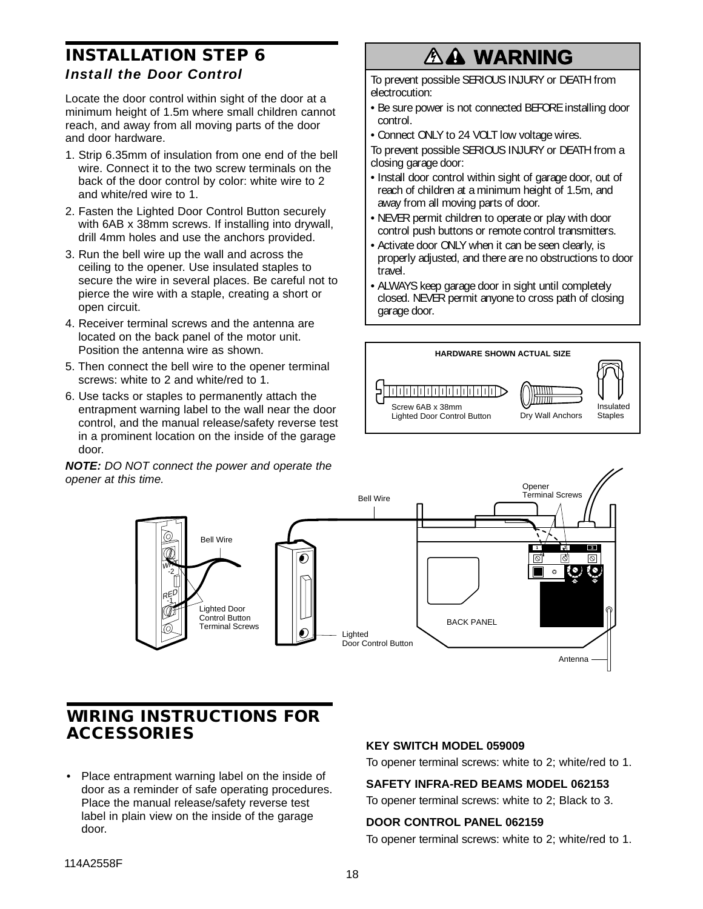## **CAUTION INSTALLATION STEP 6** *Install the Door Control*

Locate the door control within sight of the door at a minimum height of 1.5m where small children cannot reach, and away from all moving parts of the door and door hardware.

- AVERTIGN AVERTIS IN THE TRUSHERT AVERTIST OF THE SET **TRUSHERT CONFIDENT** Closing garage door: 1. Strip 6.35mm of insulation from one end of the bell back of the door control by color: white wire to 2 and white/red wire to 1.
- 2. Fasten the Lighted Door Control Button securely with 6AB x 38mm screws. If installing into drywall, drill 4mm holes and use the anchors provided.
- 3. Run the bell wire up the wall and across the ceiling to the opener. Use insulated staples to secure the wire in several places. Be careful not to pierce the wire with a staple, creating a short or open circuit.
- 4. Receiver terminal screws and the antenna are located on the back panel of the motor unit. Position the antenna wire as shown.
- 5. Then connect the bell wire to the opener terminal screws: white to 2 and white/red to 1.
- 6. Use tacks or staples to permanently attach the entrapment warning label to the wall near the door control, and the manual release/safety reverse test in a prominent location on the inside of the garage door.

**NOTE:** DO NOT connect the power and operate the opener at this time.

# **A WARNING**

To prevent possible SERIOUS INJURY or DEATH from electrocution:

- Be sure power is not connected BEFORE installing door control.
- Connect ONLY to 24 VOLT low voltage wires.
- To prevent possible SERIOUS INJURY or DEATH from a closing garage door:
- Install door control within sight of garage door, out of reach of children at a minimum height of 1.5m, and away from all moving parts of door.
- away from all moving parts of door.<br>• NEVER permit children to operate or play with door control push buttons or remote control transmitters.
- Activate door ONLY when it can be seen clearly, is properly adjusted, and there are no obstructions to door travel.
- ALWAYS keep garage door in sight until completely closed. NEVER permit anyone to cross path of closing garage door.





## **WIRING INSTRUCTIONS FOR ACCESSORIES**

• Place entrapment warning label on the inside of door as a reminder of safe operating procedures. Place the manual release/safety reverse test label in plain view on the inside of the garage door.

### **KEY SWITCH MODEL 059009**

To opener terminal screws: white to 2; white/red to 1.

### **SAFETY INFRA-RED BEAMS MODEL 062153**

To opener terminal screws: white to 2; Black to 3.

### **DOOR CONTROL PANEL 062159**

To opener terminal screws: white to 2; white/red to 1.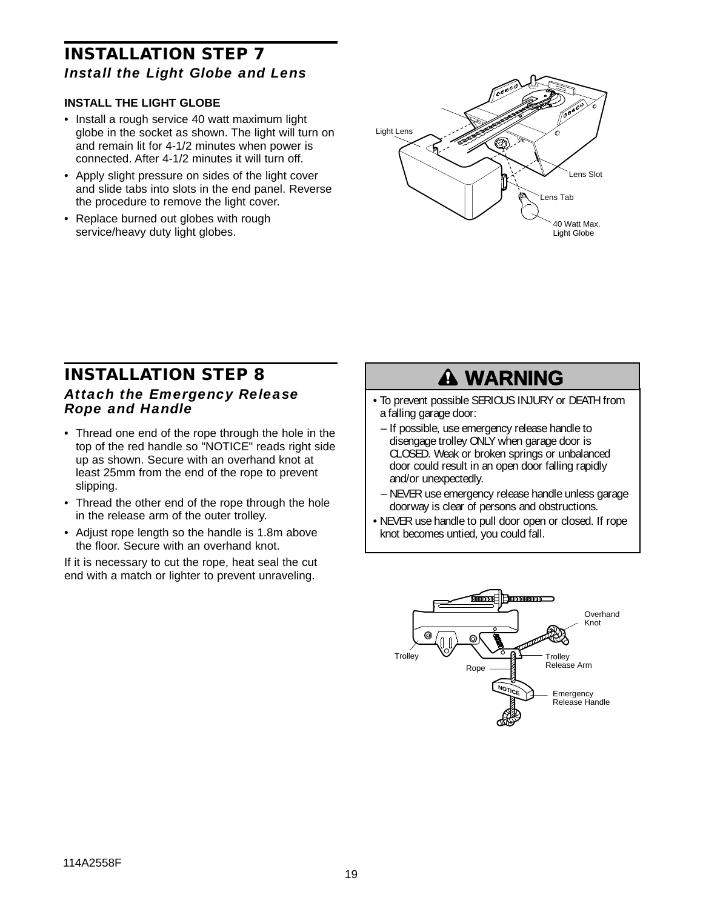## **INSTALLATION STEP 7** *Install the Light Globe and Lens*

#### **INSTALL THE LIGHT GLOBE**

- Install a rough service 40 watt maximum light globe in the socket as shown. The light will turn on and remain lit for 4-1/2 minutes when power is connected. After 4-1/2 minutes it will turn off.
- Apply slight pressure on sides of the light cover and slide tabs into slots in the end panel. Reverse the procedure to remove the light cover.
- Replace burned out globes with rough service/heavy duty light globes.



## **INSTALLATION STEP 8** *Attach the Emergency Release Rope and Handle*

- Thread one end of the rope through the hole in the top of the red handle so "NOTICE" reads right side up as shown. Secure with an overhand knot at least 25mm from the end of the rope to prevent slipping.
- Thread the other end of the rope through the hole in the release arm of the outer trolley.
- Adjust rope length so the handle is 1.8m above the floor. Secure with an overhand knot.

If it is necessary to cut the rope, heat seal the cut end with a match or lighter to prevent unraveling.

# **WARNING**

- To prevent possible SERIOUS INJURY or DEATH from a falling garage door:
	- a ranning garage door.<br>– If possible, use emergency release handle to disengage trolley ONLY when garage door is CLOSED. Weak or broken springs or unbalanced door could result in an open door falling rapidly and/or unexpectedly.
- NEVER use emergency release handle unless garage doorway is clear of persons and obstructions.
- NEVER use handle to pull door open or closed. If rope knot becomes untied, you could fall.

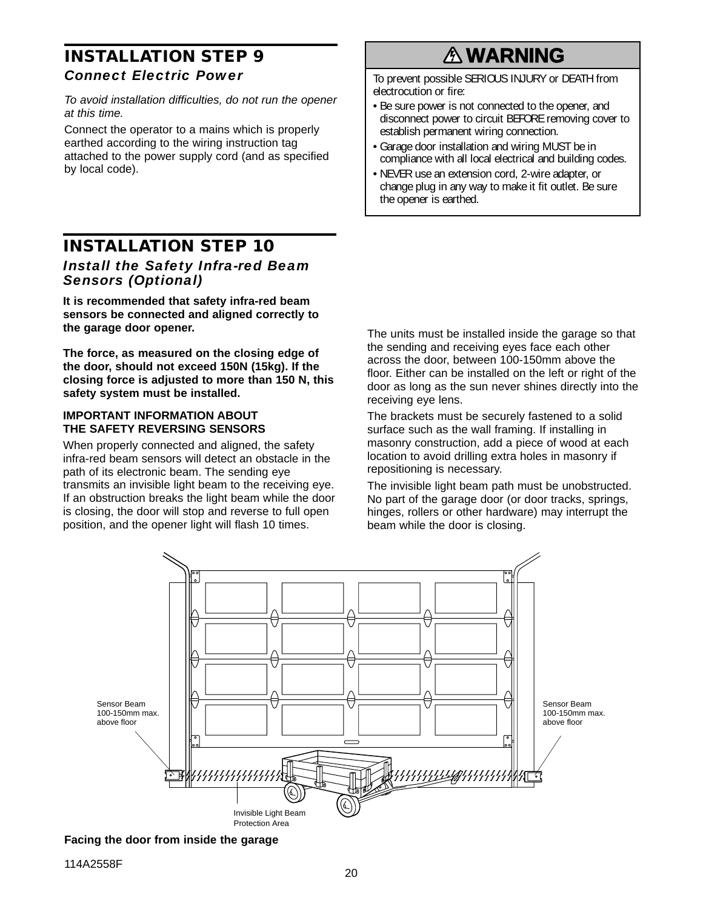## **INSTALLATION STEP 9** *Connect Electric Power*

To avoid installation difficulties, do not run the opener<br> **CAUTION B** sure power is not connected to the opener at this time.

Connect the operator to a mains which is properly earthed according to the wiring instruction tag attached to the power supply cord (and as specified by local code).

## **INSTALLATION STEP 10** *Install the Safety Infra-red Beam Sensors (Optional)*

**It is recommended that safety infra-red beam sensors be connected and aligned correctly to the garage door opener.**

**The force, as measured on the closing edge of the door, should not exceed 150N (15kg). If the closing force is adjusted to more than 150 N, this safety system must be installed.**

#### **IMPORTANT INFORMATION ABOUT THE SAFETY REVERSING SENSORS**

When properly connected and aligned, the safety infra-red beam sensors will detect an obstacle in the path of its electronic beam. The sending eye transmits an invisible light beam to the receiving eye. If an obstruction breaks the light beam while the door is closing, the door will stop and reverse to full open position, and the opener light will flash 10 times.

# **WARNING**

To prevent possible SERIOUS INJURY or DEATH from electrocution or fire:

- Be sure power is not connected to the opener, and disconnect power to circuit BEFORE removing cover to establish permanent wiring connection.
- Garage door installation and wiring MUST be in compliance with all local electrical and building codes.
- NEVER use an extension cord, 2-wire adapter, or change plug in any way to make it fit outlet. Be sure the opener is earthed.

The units must be installed inside the garage so that the sending and receiving eyes face each other across the door, between 100-150mm above the floor. Either can be installed on the left or right of the door as long as the sun never shines directly into the receiving eye lens.

The brackets must be securely fastened to a solid surface such as the wall framing. If installing in masonry construction, add a piece of wood at each location to avoid drilling extra holes in masonry if repositioning is necessary.

The invisible light beam path must be unobstructed. No part of the garage door (or door tracks, springs, hinges, rollers or other hardware) may interrupt the beam while the door is closing.



**Facing the door from inside the garage**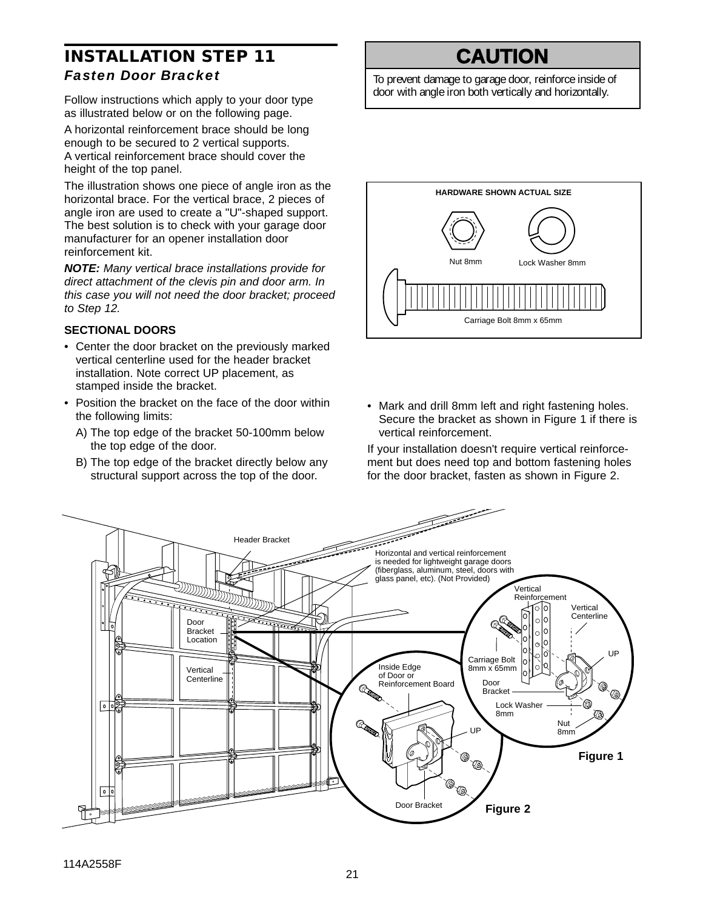## **INSTALLATION STEP 11** *Fasten Door Bracket*

Follow instructions which apply to your door type as illustrated below or on the following page.

A horizontal reinforcement brace should be long enough to be secured to 2 vertical supports. A vertical reinforcement brace should cover the height of the top panel.

The illustration shows one piece of angle iron as the horizontal brace. For the vertical brace, 2 pieces of angle iron are used to create a "U"-shaped support. The best solution is to check with your garage door manufacturer for an opener installation door reinforcement kit.

**NOTE:** Many vertical brace installations provide for direct attachment of the clevis pin and door arm. In this case you will not need the door bracket; proceed to Step 12.

#### **SECTIONAL DOORS**

- Center the door bracket on the previously marked vertical centerline used for the header bracket installation. Note correct UP placement, as stamped inside the bracket.
- Position the bracket on the face of the door within the following limits:
	- A) The top edge of the bracket 50-100mm below the top edge of the door.
	- B) The top edge of the bracket directly below any structural support across the top of the door.

# **CAUTION**

To prevent damage to garage door, reinforce inside of door with angle iron both vertically and horizontally.



• Mark and drill 8mm left and right fastening holes. Secure the bracket as shown in Figure 1 if there is vertical reinforcement.

If your installation doesn't require vertical reinforcement but does need top and bottom fastening holes for the door bracket, fasten as shown in Figure 2.

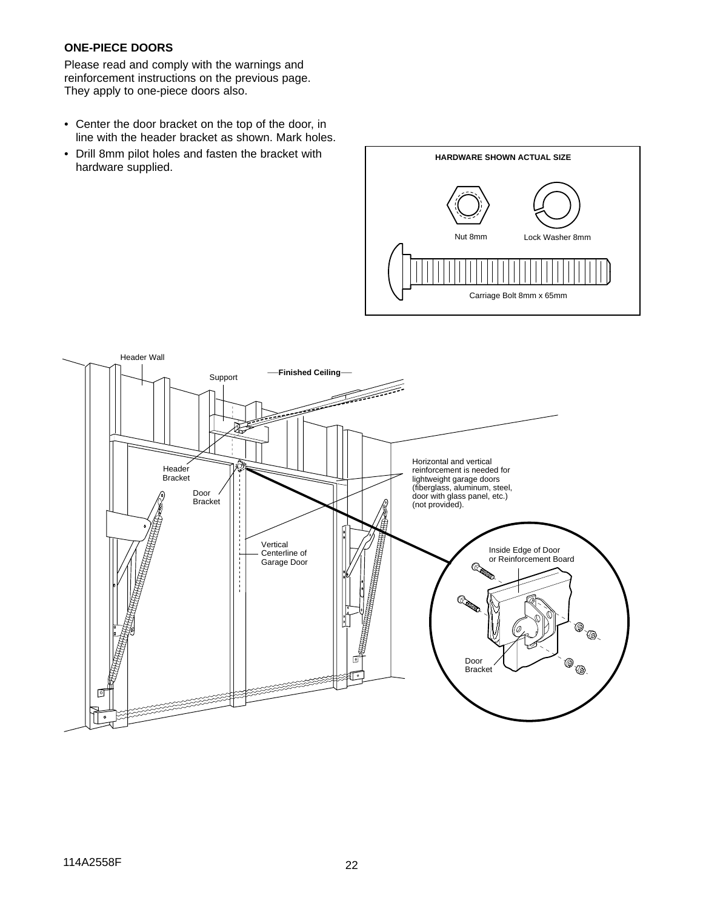#### **ONE-PIECE DOORS**

Please read and comply with the warnings and reinforcement instructions on the previous page. They apply to one-piece doors also.

- Center the door bracket on the top of the door, in line with the header bracket as shown. Mark holes.
- Drill 8mm pilot holes and fasten the bracket with hardware supplied.



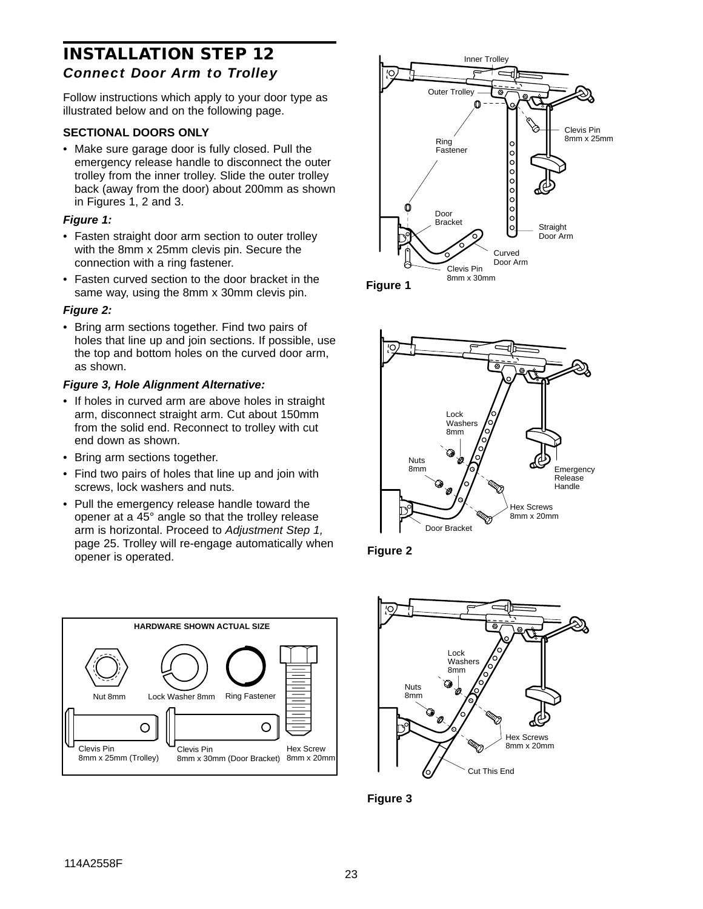## **INSTALLATION STEP 12** *Connect Door Arm to Trolley*

Follow instructions which apply to your door type as illustrated below and on the following page.

#### **SECTIONAL DOORS ONLY**

• Make sure garage door is fully closed. Pull the emergency release handle to disconnect the outer trolley from the inner trolley. Slide the outer trolley back (away from the door) about 200mm as shown in Figures 1, 2 and 3.

#### **Figure 1:**

- Fasten straight door arm section to outer trolley with the 8mm x 25mm clevis pin. Secure the connection with a ring fastener.
- Fasten curved section to the door bracket in the same way, using the 8mm x 30mm clevis pin.

#### **Figure 2:**

• Bring arm sections together. Find two pairs of holes that line up and join sections. If possible, use the top and bottom holes on the curved door arm, as shown.

#### **Figure 3, Hole Alignment Alternative:**

- If holes in curved arm are above holes in straight arm, disconnect straight arm. Cut about 150mm from the solid end. Reconnect to trolley with cut end down as shown.
- Bring arm sections together.
- Find two pairs of holes that line up and join with screws, lock washers and nuts.
- Pull the emergency release handle toward the opener at a 45° angle so that the trolley release arm is horizontal. Proceed to Adjustment Step 1, page 25. Trolley will re-engage automatically when opener is operated.













**Figure 3**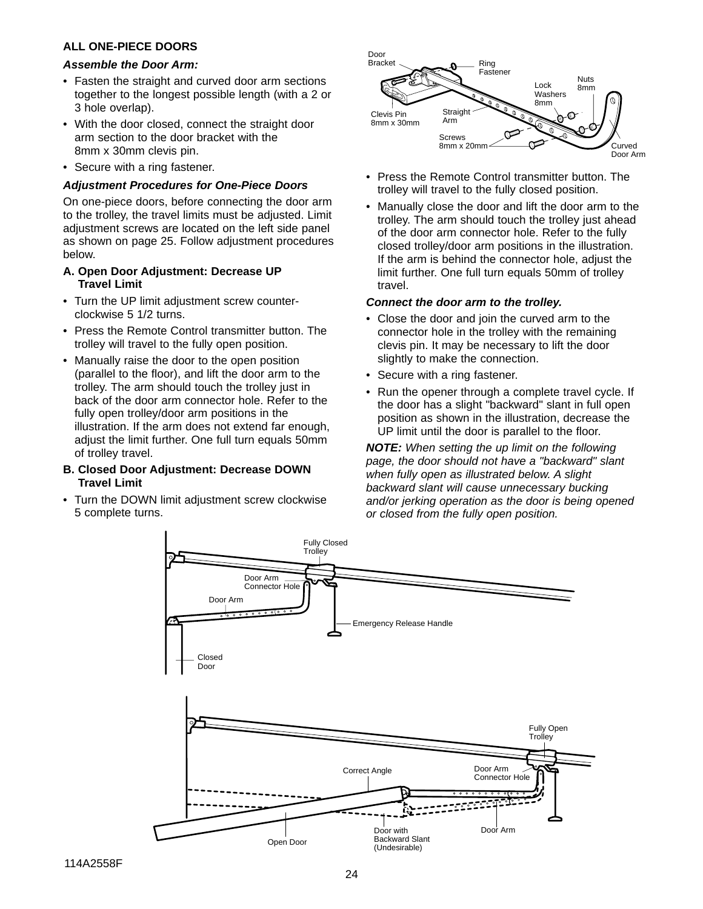#### **ALL ONE-PIECE DOORS**

#### **Assemble the Door Arm:**

- Fasten the straight and curved door arm sections together to the longest possible length (with a 2 or 3 hole overlap).
- With the door closed, connect the straight door arm section to the door bracket with the 8mm x 30mm clevis pin.
- Secure with a ring fastener.

#### **Adjustment Procedures for One-Piece Doors**

On one-piece doors, before connecting the door arm to the trolley, the travel limits must be adjusted. Limit adjustment screws are located on the left side panel as shown on page 25. Follow adjustment procedures below.

#### **A. Open Door Adjustment: Decrease UP Travel Limit**

- Turn the UP limit adjustment screw counterclockwise 5 1/2 turns.
- Press the Remote Control transmitter button. The trolley will travel to the fully open position.
- Manually raise the door to the open position (parallel to the floor), and lift the door arm to the trolley. The arm should touch the trolley just in back of the door arm connector hole. Refer to the fully open trolley/door arm positions in the illustration. If the arm does not extend far enough, adjust the limit further. One full turn equals 50mm of trolley travel.

#### **B. Closed Door Adjustment: Decrease DOWN Travel Limit**

• Turn the DOWN limit adjustment screw clockwise 5 complete turns.



- Press the Remote Control transmitter button. The trolley will travel to the fully closed position.
- Manually close the door and lift the door arm to the trolley. The arm should touch the trolley just ahead of the door arm connector hole. Refer to the fully closed trolley/door arm positions in the illustration. If the arm is behind the connector hole, adjust the limit further. One full turn equals 50mm of trolley travel.

#### **Connect the door arm to the trolley.**

- Close the door and join the curved arm to the connector hole in the trolley with the remaining clevis pin. It may be necessary to lift the door slightly to make the connection.
- Secure with a ring fastener.
- Run the opener through a complete travel cycle. If the door has a slight "backward" slant in full open position as shown in the illustration, decrease the UP limit until the door is parallel to the floor.

**NOTE:** When setting the up limit on the following page, the door should not have a "backward" slant when fully open as illustrated below. A slight backward slant will cause unnecessary bucking and/or jerking operation as the door is being opened or closed from the fully open position.

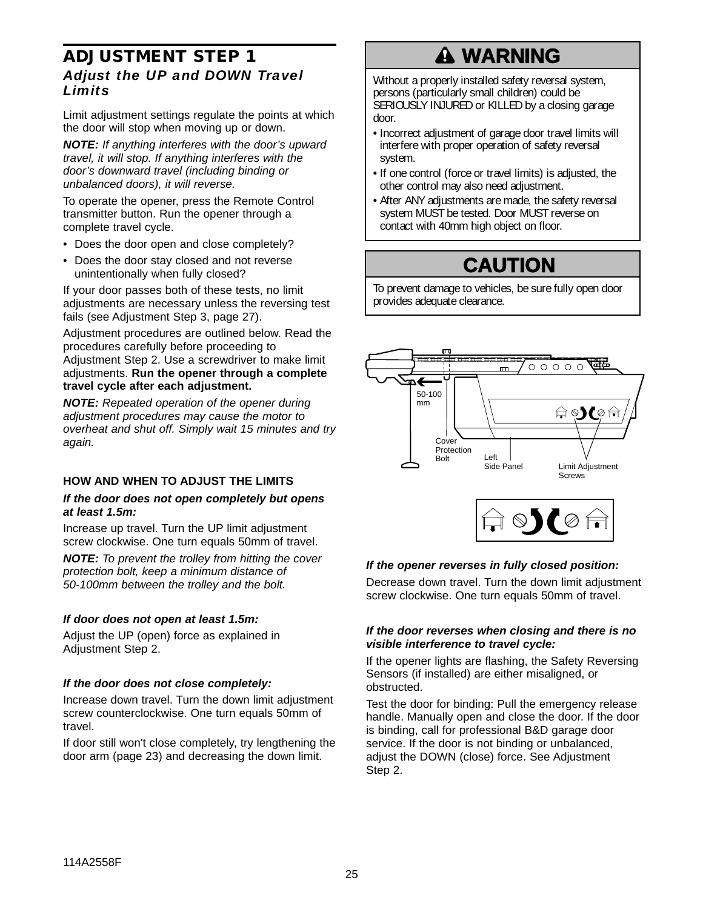## **ADJUSTMENT STEP 1** *Adjust the UP and DOWN Travel Limits*

Limit adjustment settings regulate the points at which the door will stop when moving up or down.

**NOTE:** If anything interferes with the door's upward travel, it will stop. If anything interferes with the door's downward travel (including binding or unbalanced doors), it will reverse.

To operate the opener, press the Remote Control transmitter button. Run the opener through a complete travel cycle.

- Does the door open and close completely?
- Does the door stay closed and not reverse unintentionally when fully closed?

If your door passes both of these tests, no limit adjustments are necessary unless the reversing test fails (see Adjustment Step 3, page 27).

Adjustment procedures are outlined below. Read the procedures carefully before proceeding to Adjustment Step 2. Use a screwdriver to make limit adjustments. **Run the opener through a complete travel cycle after each adjustment.** 

**NOTE:** Repeated operation of the opener during adjustment procedures may cause the motor to overheat and shut off. Simply wait 15 minutes and try again.

### **HOW AND WHEN TO ADJUST THE LIMITS**

#### **If the door does not open completely but opens at least 1.5m:**

Increase up travel. Turn the UP limit adjustment screw clockwise. One turn equals 50mm of travel.

**NOTE:** To prevent the trolley from hitting the cover protection bolt, keep a minimum distance of 50-100mm between the trolley and the bolt.

#### **If door does not open at least 1.5m:**

Adjust the UP (open) force as explained in Adjustment Step 2.

#### **If the door does not close completely:**

Increase down travel. Turn the down limit adjustment screw counterclockwise. One turn equals 50mm of travel.

If door still won't close completely, try lengthening the door arm (page 23) and decreasing the down limit.

# **A WARNING**

Without a properly installed safety reversal system, persons (particularly small children) could be persons (particularly small children) could be<br>SERIOUSLY INJURED or KILLED by a closing garage door.

- Incorrect adjustment of garage door travel limits will interfere with proper operation of safety reversal system.
- If one control (force or travel limits) is adjusted, the other control may also need adjustment.
- After ANY adjustments are made, the safety reversal system MUST be tested. Door MUST reverse on system MUST be tested. Door MUST rev<br>contact with 40mm high object on floor.



To prevent damage to vehicles, be sure fully open door provides adequate clearance.





#### **If the opener reverses in fully closed position:**

Decrease down travel. Turn the down limit adjustment screw clockwise. One turn equals 50mm of travel.

#### **If the door reverses when closing and there is no visible interference to travel cycle:**

If the opener lights are flashing, the Safety Reversing Sensors (if installed) are either misaligned, or obstructed.

Test the door for binding: Pull the emergency release handle. Manually open and close the door. If the door is binding, call for professional B&D garage door service. If the door is not binding or unbalanced, adjust the DOWN (close) force. See Adjustment Step 2.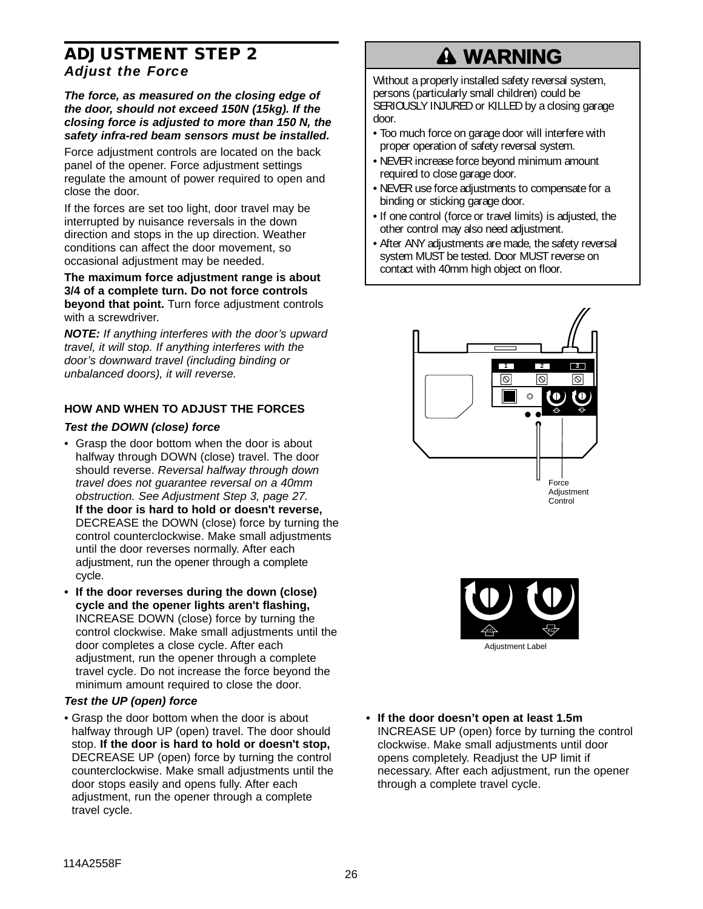## **ADJUSTMENT STEP 2** *Adjust the Force*

**The force, as measured on the closing edge of the door, should not exceed 150N (15kg). If the closing force is adjusted to more than 150 N, the safety infra-red beam sensors must be installed.** 

Force adjustment controls are located on the back panel of the opener. Force adjustment settings regulate the amount of power required to open and close the door.

If the forces are set too light, door travel may be interrupted by nuisance reversals in the down direction and stops in the up direction. Weather conditions can affect the door movement, so occasional adjustment may be needed.

**The maximum force adjustment range is about 3/4 of a complete turn. Do not force controls beyond that point.** Turn force adjustment controls with a screwdriver.

**NOTE:** If anything interferes with the door's upward travel, it will stop. If anything interferes with the door's downward travel (including binding or unbalanced doors), it will reverse.

### **HOW AND WHEN TO ADJUST THE FORCES**

#### **Test the DOWN (close) force**

- Grasp the door bottom when the door is about halfway through DOWN (close) travel. The door should reverse. Reversal halfway through down travel does not guarantee reversal on a 40mm obstruction. See Adjustment Step 3, page 27. **If the door is hard to hold or doesn't reverse,** DECREASE the DOWN (close) force by turning the control counterclockwise. Make small adjustments until the door reverses normally. After each adjustment, run the opener through a complete cycle.
- **If the door reverses during the down (close) cycle and the opener lights aren't flashing,** INCREASE DOWN (close) force by turning the control clockwise. Make small adjustments until the door completes a close cycle. After each adjustment, run the opener through a complete travel cycle. Do not increase the force beyond the minimum amount required to close the door.

#### **Test the UP (open) force**

• Grasp the door bottom when the door is about halfway through UP (open) travel. The door should stop. **If the door is hard to hold or doesn't stop,** DECREASE UP (open) force by turning the control counterclockwise. Make small adjustments until the door stops easily and opens fully. After each adjustment, run the opener through a complete travel cycle.

# **WARNING**

Without a properly installed safety reversal system, persons (particularly small children) could be persons (particularly small children) could be<br>SERIOUSLY INJURED or KILLED by a closing garage door.

- Too much force on garage door will interfere with proper operation of safety reversal system.
- NEVER increase force beyond minimum amount required to close garage door.
- NEVER use force adjustments to compensate for a binding or sticking garage door.
- If one control (force or travel limits) is adjusted, the other control may also need adjustment.
- After ANY adjustments are made, the safety reversal system MUST be tested. Door MUST reverse on contact with 40mm high object on floor.





**• If the door doesn't open at least 1.5m** INCREASE UP (open) force by turning the control clockwise. Make small adjustments until door opens completely. Readjust the UP limit if necessary. After each adjustment, run the opener through a complete travel cycle.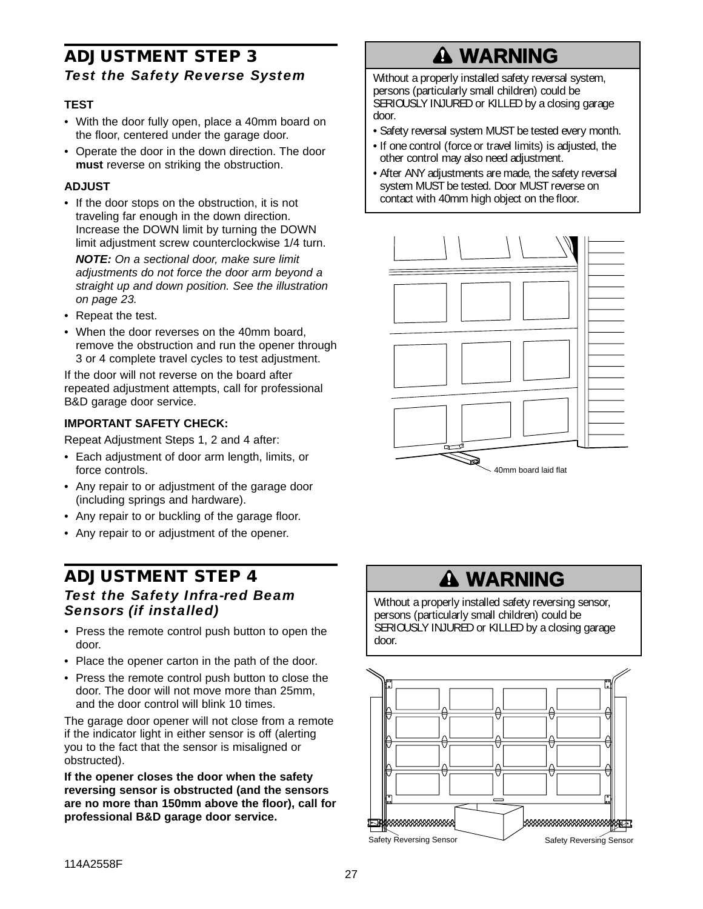## **ADJUSTMENT STEP 3** *Test the Safety Reverse System*

### **TEST**

- With the door fully open, place a 40mm board on the floor, centered under the garage door.
- Operate the door in the down direction. The door **must** reverse on striking the obstruction.

#### **ADJUST**

• If the door stops on the obstruction, it is not traveling far enough in the down direction. Increase the DOWN limit by turning the DOWN limit adjustment screw counterclockwise 1/4 turn.

**NOTE:** On a sectional door, make sure limit adjustments do not force the door arm beyond a straight up and down position. See the illustration on page 23.

- Repeat the test.
- When the door reverses on the 40mm board, remove the obstruction and run the opener through 3 or 4 complete travel cycles to test adjustment.

If the door will not reverse on the board after repeated adjustment attempts, call for professional B&D garage door service.

#### **IMPORTANT SAFETY CHECK:**

Repeat Adjustment Steps 1, 2 and 4 after:

- Each adjustment of door arm length, limits, or force controls.
- Any repair to or adjustment of the garage door (including springs and hardware).
- Any repair to or buckling of the garage floor.
- Any repair to or adjustment of the opener.

## **ADJUSTMENT STEP 4** *Test the Safety Infra-red Beam Sensors (if installed)*

- Press the remote control push button to open the door.
- Place the opener carton in the path of the door.
- Press the remote control push button to close the door. The door will not move more than 25mm, and the door control will blink 10 times.

The garage door opener will not close from a remote if the indicator light in either sensor is off (alerting you to the fact that the sensor is misaligned or obstructed).

**If the opener closes the door when the safety reversing sensor is obstructed (and the sensors are no more than 150mm above the floor), call for professional B&D garage door service.**

# **WARNING**

Without a properly installed safety reversal system, persons (particularly small children) could be persons (particularly small children) could be<br>SERIOUSLY INJURED or KILLED by a closing garage door.

- Safety reversal system MUST be tested every month.
- If one control (force or travel limits) is adjusted, the other control may also need adjustment.
- After ANY adjustments are made, the safety reversal system MUST be tested. Door MUST reverse on contact with 40mm high object on the floor.



# **A WARNING**

Without a properly installed safety reversing sensor, persons (particularly small children) could be persons (particularly small children) could be<br>SERIOUSLY INJURED or KILLED by a closing garage door.

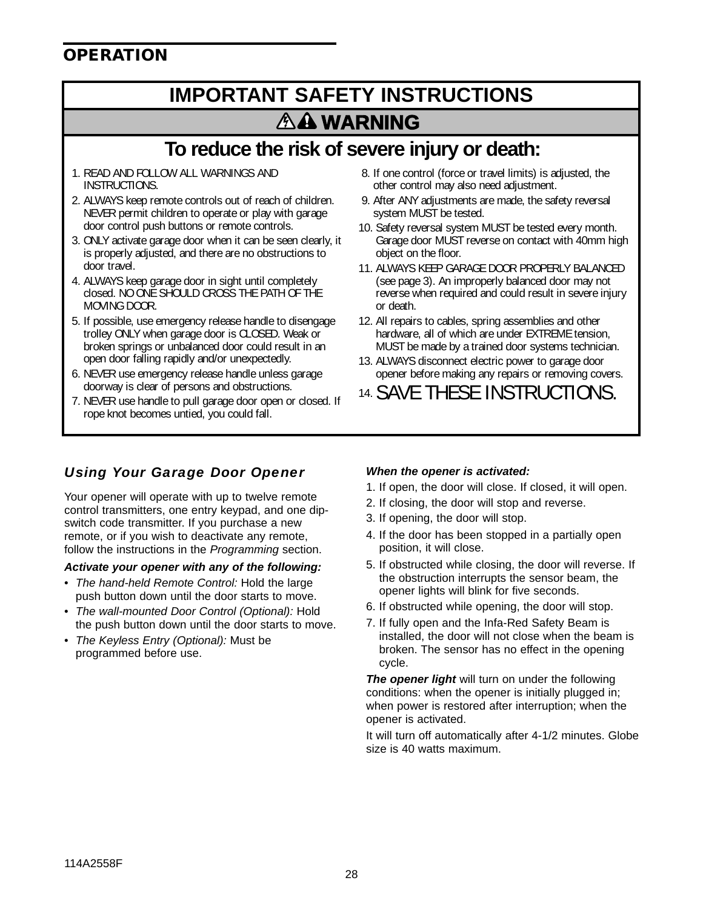## **OPERATION**

## **IMPORTANT SAFETY INSTRUCTIONS** *AA* WARNING <u>Warning Communication (Carl Communication)</u>

## **To reduce the risk of severe injury or death:**

- 1. READ AND FOLLOW ALL WARNINGS AND INSTRUCTIONS.
- 2. ALWAYS keep remote controls out of reach of children. NEVER permit children to operate or play with garage door control push buttons or remote controls.
- 3. ONLY activate garage door when it can be seen clearly, it is properly adjusted, and there are no obstructions to door travel.
- 4. ALWAYS keep garage door in sight until completely closed. NO ONE SHOULD CROSS THE PATH OF THE MOVING DOOR.
- 5. If possible, use emergency release handle to disengage trolley ONLY when garage door is CLOSED. Weak or broken springs or unbalanced door could result in an open door falling rapidly and/or unexpectedly.
- 6. NEVER use emergency release handle unless garage doorway is clear of persons and obstructions.
- 7. NEVER use handle to pull garage door open or closed. If rope knot becomes untied, you could fall.
- 8. If one control (force or travel limits) is adjusted, the other control may also need adjustment.
- 9. After ANY adjustments are made, the safety reversal system MUST be tested.
- 10. Safety reversal system MUST be tested every month. Garage door MUST reverse on contact with 40mm high object on the floor.
- 11. ALWAYS KEEP GARAGE DOOR PROPERLY BALANCED (see page 3). An improperly balanced door may not reverse when required and could result in severe injury or death.
- 12. All repairs to cables, spring assemblies and other hardware, all of which are under EXTREME tension, MUST be made by a trained door systems technician.
- 13. ALWAYS disconnect electric power to garage door opener before making any repairs or removing covers.
- 14. SAVE THESE INSTRUCTIONS.

## *Using Your Garage Door Opener*

Your opener will operate with up to twelve remote control transmitters, one entry keypad, and one dipswitch code transmitter. If you purchase a new remote, or if you wish to deactivate any remote, follow the instructions in the Programming section.

#### **Activate your opener with any of the following:**

- The hand-held Remote Control: Hold the large push button down until the door starts to move.
- The wall-mounted Door Control (Optional): Hold the push button down until the door starts to move.
- The Keyless Entry (Optional): Must be programmed before use.

### **When the opener is activated:**

- 1. If open, the door will close. If closed, it will open.
- 2. If closing, the door will stop and reverse.
- 3. If opening, the door will stop.
- 4. If the door has been stopped in a partially open position, it will close.
- 5. If obstructed while closing, the door will reverse. If the obstruction interrupts the sensor beam, the opener lights will blink for five seconds.
- 6. If obstructed while opening, the door will stop.
- 7. If fully open and the Infa-Red Safety Beam is installed, the door will not close when the beam is broken. The sensor has no effect in the opening cycle.

**The opener light** will turn on under the following conditions: when the opener is initially plugged in; when power is restored after interruption; when the opener is activated.

It will turn off automatically after 4-1/2 minutes. Globe size is 40 watts maximum.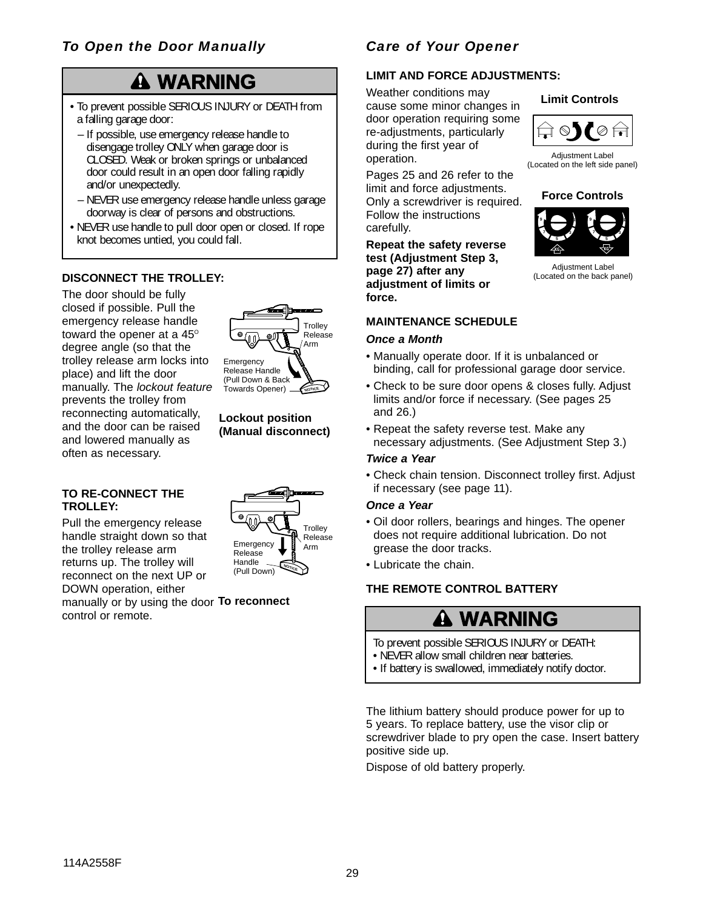## *To Open the Door Manually*

# **WARNING**

- To prevent possible SERIOUS INJURY or DEATH from **Cause cause some minor changes in** a falling garage door:
	- If possible, use emergency release handle to disengage trolley ONLY when garage door is CLOSED. Weak or broken springs or unbalanced door could result in an open door falling rapidly and/or unexpectedly.
	- NEVER use emergency release handle unless garage doorway is clear of persons and obstructions.
- NEVER use handle to pull door open or closed. If rope knot becomes untied, you could fall.

### **DISCONNECT THE TROLLEY:**

The door should be fully closed if possible. Pull the emergency release handle toward the opener at a  $45^\circ$ degree angle (so that the trolley release arm locks into place) and lift the door manually. The lockout feature prevents the trolley from reconnecting automatically, and the door can be raised and lowered manually as often as necessary.



#### **Lockout position (Manual disconnect)**

#### **TO RE-CONNECT THE TROLLEY:**

Pull the emergency release handle straight down so that the trolley release arm returns up. The trolley will reconnect on the next UP or DOWN operation, either manually or by using the door **To reconnect** control or remote.



## *Care of Your Opener*

# LIMIT AND FORCE ADJUSTMENTS:<br>Weather.conditions.mav

Weather conditions may cause some minor changes in door operation requiring some oor:<br>
emergency release handle to **CAUTION** re-adjustments, particularly  $\left|\bigoplus_\textbf{m}\otimes\textbf{y}\right|\right)$ during the first year of operation.

> Pages 25 and 26 refer to the limit and force adjustments. Only a screwdriver is required. Follow the instructions carefully.

**Repeat the safety reverse test (Adjustment Step 3, page 27) after any adjustment of limits or force.**

### **MAINTENANCE SCHEDULE**

#### **Once a Month**

- Manually operate door. If it is unbalanced or binding, call for professional garage door service.
- Check to be sure door opens & closes fully. Adjust limits and/or force if necessary. (See pages 25 and 26.)
- Repeat the safety reverse test. Make any necessary adjustments. (See Adjustment Step 3.)

#### **Twice a Year**

• Check chain tension. Disconnect trolley first. Adjust if necessary (see page 11).

#### **Once a Year**

- Oil door rollers, bearings and hinges. The opener does not require additional lubrication. Do not grease the door tracks.
- Lubricate the chain.

### **THE REMOTE CONTROL BATTERY**

# **WARNING**

- To prevent possible SERIOUS INJURY or DEATH:
- NEVER allow small children near batteries.
- NEVER allow small children hear batteries.<br>• If battery is swallowed, immediately notify doctor.

The lithium battery should produce power for up to 5 years. To replace battery, use the visor clip or screwdriver blade to pry open the case. Insert battery positive side up.

Dispose of old battery properly.





Adjustment Label (Located on the left side panel)

#### **Force Controls**



Adjustment Label (Located on the back panel)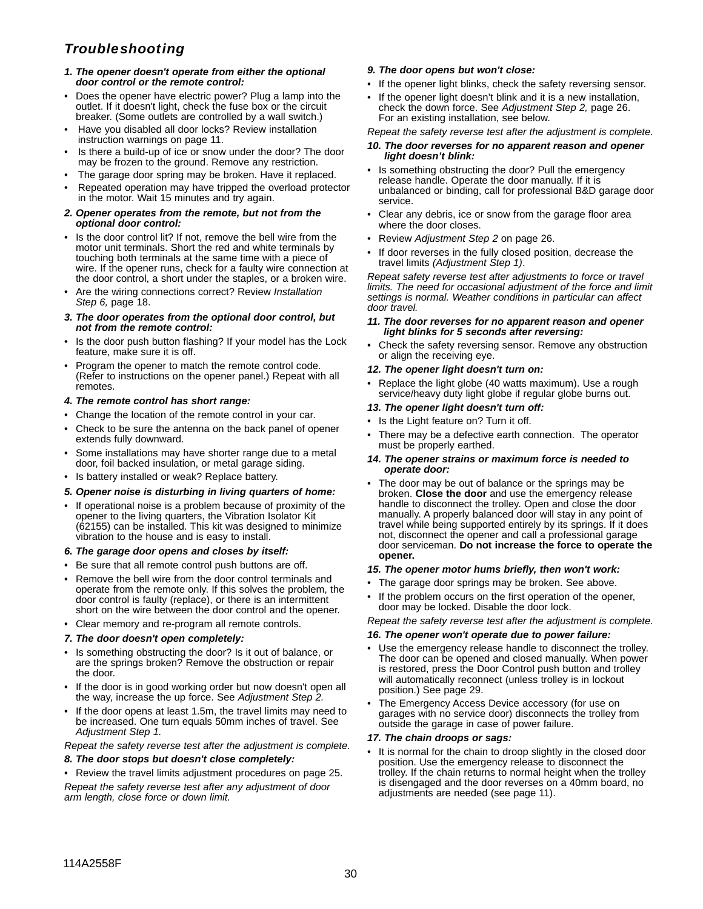## *Troubleshooting*

- **1. The opener doesn't operate from either the optional door control or the remote control:**
- Does the opener have electric power? Plug a lamp into the outlet. If it doesn't light, check the fuse box or the circuit breaker. (Some outlets are controlled by a wall switch.)
- Have you disabled all door locks? Review installation instruction warnings on page 11.
- Is there a build-up of ice or snow under the door? The door may be frozen to the ground. Remove any restriction.
- The garage door spring may be broken. Have it replaced.
- Repeated operation may have tripped the overload protector in the motor. Wait 15 minutes and try again.

#### **2. Opener operates from the remote, but not from the optional door control:**

- Is the door control lit? If not, remove the bell wire from the motor unit terminals. Short the red and white terminals by touching both terminals at the same time with a piece of wire. If the opener runs, check for a faulty wire connection at the door control, a short under the staples, or a broken wire.
- Are the wiring connections correct? Review Installation Step 6, page 18.
- **3. The door operates from the optional door control, but not from the remote control:**
- Is the door push button flashing? If your model has the Lock feature, make sure it is off.
- Program the opener to match the remote control code. (Refer to instructions on the opener panel.) Repeat with all remotes.

#### **4. The remote control has short range:**

- Change the location of the remote control in your car.
- Check to be sure the antenna on the back panel of opener extends fully downward.
- Some installations may have shorter range due to a metal door, foil backed insulation, or metal garage siding.
- Is battery installed or weak? Replace battery.
- **5. Opener noise is disturbing in living quarters of home:**
- If operational noise is a problem because of proximity of the opener to the living quarters, the Vibration Isolator Kit (62155) can be installed. This kit was designed to minimize vibration to the house and is easy to install.
- **6. The garage door opens and closes by itself:**
- Be sure that all remote control push buttons are off.
- Remove the bell wire from the door control terminals and operate from the remote only. If this solves the problem, the door control is faulty (replace), or there is an intermittent short on the wire between the door control and the opener.
- Clear memory and re-program all remote controls.

#### **7. The door doesn't open completely:**

- Is something obstructing the door? Is it out of balance, or are the springs broken? Remove the obstruction or repair the door.
- If the door is in good working order but now doesn't open all the way, increase the up force. See Adjustment Step 2.
- If the door opens at least 1.5m, the travel limits may need to be increased. One turn equals 50mm inches of travel. See Adjustment Step 1.

#### Repeat the safety reverse test after the adjustment is complete.

#### **8. The door stops but doesn't close completely:**

• Review the travel limits adjustment procedures on page 25. Repeat the safety reverse test after any adjustment of door arm length, close force or down limit.

#### **9. The door opens but won't close:**

- If the opener light blinks, check the safety reversing sensor.
- If the opener light doesn't blink and it is a new installation. check the down force. See Adjustment Step 2, page 26. For an existing installation, see below.

#### Repeat the safety reverse test after the adjustment is complete.

#### **10. The door reverses for no apparent reason and opener light doesn't blink:**

- Is something obstructing the door? Pull the emergency release handle. Operate the door manually. If it is unbalanced or binding, call for professional B&D garage door service.
- Clear any debris, ice or snow from the garage floor area where the door closes.
- Review Adjustment Step 2 on page 26.
- If door reverses in the fully closed position, decrease the travel limits (Adjustment Step 1).

Repeat safety reverse test after adjustments to force or travel limits. The need for occasional adjustment of the force and limit settings is normal. Weather conditions in particular can affect door travel.

- **11. The door reverses for no apparent reason and opener light blinks for 5 seconds after reversing:**
- Check the safety reversing sensor. Remove any obstruction or align the receiving eye.

#### **12. The opener light doesn't turn on:**

• Replace the light globe (40 watts maximum). Use a rough service/heavy duty light globe if regular globe burns out.

#### **13. The opener light doesn't turn off:**

- Is the Light feature on? Turn it off.
- There may be a defective earth connection. The operator must be properly earthed.

#### **14. The opener strains or maximum force is needed to operate door:**

The door may be out of balance or the springs may be broken. **Close the door** and use the emergency release handle to disconnect the trolley. Open and close the door manually. A properly balanced door will stay in any point of travel while being supported entirely by its springs. If it does not, disconnect the opener and call a professional garage door serviceman. **Do not increase the force to operate the opener.**

#### **15. The opener motor hums briefly, then won't work:**

- The garage door springs may be broken. See above.
- If the problem occurs on the first operation of the opener, door may be locked. Disable the door lock.

Repeat the safety reverse test after the adjustment is complete.

#### **16. The opener won't operate due to power failure:**

- Use the emergency release handle to disconnect the trolley. The door can be opened and closed manually. When power is restored, press the Door Control push button and trolley will automatically reconnect (unless trolley is in lockout position.) See page 29.
- The Emergency Access Device accessory (for use on garages with no service door) disconnects the trolley from outside the garage in case of power failure.

#### **17. The chain droops or sags:**

• It is normal for the chain to droop slightly in the closed door position. Use the emergency release to disconnect the trolley. If the chain returns to normal height when the trolley is disengaged and the door reverses on a 40mm board, no adjustments are needed (see page 11).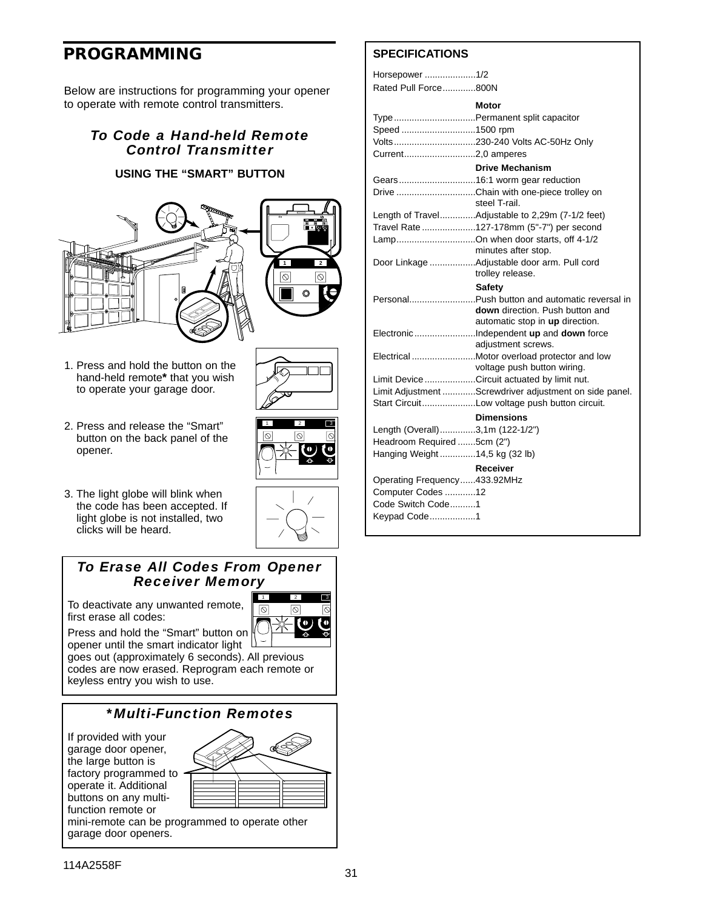## **PROGRAMMING**

Below are instructions for programming your opener to operate with remote control transmitters.

### *To Code a Hand-held Remote Control Transmitter*

### **USING THE "SMART" BUTTON**



1. Press and hold the button on the hand-held remote**\*** that you wish to operate your garage door.

| $\overline{a}$ | u              |   |
|----------------|----------------|---|
|                | $\overline{2}$ | э |
| $\infty$       | $\circ$        |   |
|                |                |   |

KG KG KG KG

2. Press and release the "Smart" button on the back panel of the opener.

clicks will be heard.





### *To Erase All Codes From Opener Receiver Memory*

To deactivate any unwanted remote, first erase all codes: Press and hold the "Smart" button on



opener until the smart indicator light  $\lfloor$ goes out (approximately 6 seconds). All previous codes are now erased. Reprogram each remote or keyless entry you wish to use.

## *\*Multi-Function Remotes*

If provided with your garage door opener, the large button is factory programmed to operate it. Additional buttons on any multifunction remote or



mini-remote can be programmed to operate other garage door openers.

### **SPECIFICATIONS**

| Horsepower 1/2                  |                                                                                  |
|---------------------------------|----------------------------------------------------------------------------------|
| Rated Pull Force800N            |                                                                                  |
|                                 | Motor                                                                            |
|                                 |                                                                                  |
|                                 | TypePermanent split capacitor                                                    |
| Speed 1500 rpm                  |                                                                                  |
|                                 |                                                                                  |
| Current2,0 amperes              |                                                                                  |
|                                 | <b>Drive Mechanism</b>                                                           |
|                                 | Gears16:1 worm gear reduction                                                    |
|                                 | Drive Chain with one-piece trolley on                                            |
|                                 | steel T-rail.                                                                    |
|                                 | Length of TravelAdjustable to 2,29m (7-1/2 feet)                                 |
|                                 | Travel Rate 127-178mm (5"-7") per second                                         |
|                                 | LampOn when door starts, off 4-1/2                                               |
|                                 | minutes after stop.                                                              |
|                                 | Door Linkage Adjustable door arm. Pull cord<br>trolley release.                  |
|                                 |                                                                                  |
|                                 | <b>Safety</b>                                                                    |
|                                 | PersonalPush button and automatic reversal in<br>down direction. Push button and |
|                                 | automatic stop in up direction.                                                  |
|                                 | ElectronicIndependent up and down force                                          |
|                                 | adjustment screws.                                                               |
|                                 |                                                                                  |
|                                 | voltage push button wiring.                                                      |
|                                 | Limit Device Circuit actuated by limit nut.                                      |
|                                 | Limit Adjustment Screwdriver adjustment on side panel.                           |
|                                 | Start CircuitLow voltage push button circuit.                                    |
|                                 | <b>Dimensions</b>                                                                |
| Length (Overall)3,1m (122-1/2") |                                                                                  |
| Headroom Required 5cm (2")      |                                                                                  |
| Hanging Weight14,5 kg (32 lb)   |                                                                                  |
|                                 | <b>Receiver</b>                                                                  |
| Operating Frequency433.92MHz    |                                                                                  |
| Computer Codes 12               |                                                                                  |
| Code Switch Code1               |                                                                                  |
| Keypad Code1                    |                                                                                  |
|                                 |                                                                                  |